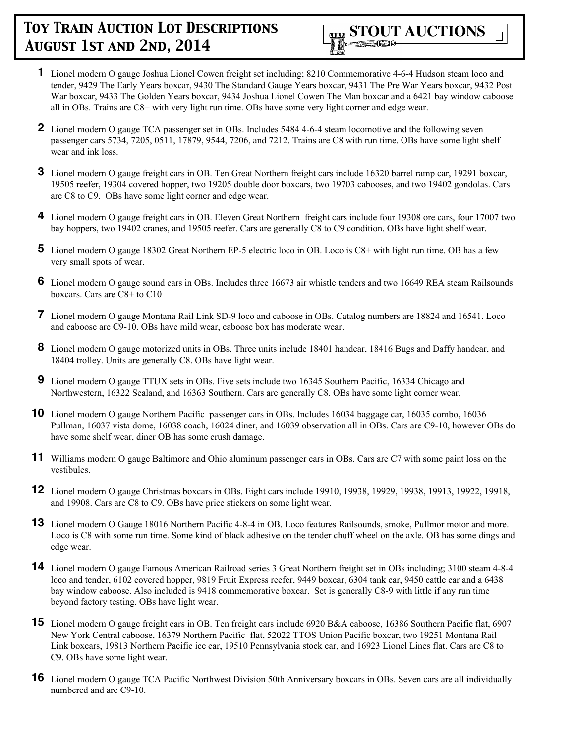

- **1** Lionel modern O gauge Joshua Lionel Cowen freight set including; 8210 Commemorative 4-6-4 Hudson steam loco and tender, 9429 The Early Years boxcar, 9430 The Standard Gauge Years boxcar, 9431 The Pre War Years boxcar, 9432 Post War boxcar, 9433 The Golden Years boxcar, 9434 Joshua Lionel Cowen The Man boxcar and a 6421 bay window caboose all in OBs. Trains are C8+ with very light run time. OBs have some very light corner and edge wear.
- **2** Lionel modern O gauge TCA passenger set in OBs. Includes 5484 4-6-4 steam locomotive and the following seven passenger cars 5734, 7205, 0511, 17879, 9544, 7206, and 7212. Trains are C8 with run time. OBs have some light shelf wear and ink loss.
- **3** Lionel modern O gauge freight cars in OB. Ten Great Northern freight cars include 16320 barrel ramp car, 19291 boxcar, 19505 reefer, 19304 covered hopper, two 19205 double door boxcars, two 19703 cabooses, and two 19402 gondolas. Cars are C8 to C9. OBs have some light corner and edge wear.
- **4** Lionel modern O gauge freight cars in OB. Eleven Great Northern freight cars include four 19308 ore cars, four 17007 two bay hoppers, two 19402 cranes, and 19505 reefer. Cars are generally C8 to C9 condition. OBs have light shelf wear.
- **5** Lionel modern O gauge 18302 Great Northern EP-5 electric loco in OB. Loco is C8+ with light run time. OB has a few very small spots of wear.
- **6** Lionel modern O gauge sound cars in OBs. Includes three 16673 air whistle tenders and two 16649 REA steam Railsounds boxcars. Cars are C8+ to C10
- **7** Lionel modern O gauge Montana Rail Link SD-9 loco and caboose in OBs. Catalog numbers are 18824 and 16541. Loco and caboose are C9-10. OBs have mild wear, caboose box has moderate wear.
- **8** Lionel modern O gauge motorized units in OBs. Three units include 18401 handcar, 18416 Bugs and Daffy handcar, and 18404 trolley. Units are generally C8. OBs have light wear.
- **9** Lionel modern O gauge TTUX sets in OBs. Five sets include two 16345 Southern Pacific, 16334 Chicago and Northwestern, 16322 Sealand, and 16363 Southern. Cars are generally C8. OBs have some light corner wear.
- **10** Lionel modern O gauge Northern Pacific passenger cars in OBs. Includes 16034 baggage car, 16035 combo, 16036 Pullman, 16037 vista dome, 16038 coach, 16024 diner, and 16039 observation all in OBs. Cars are C9-10, however OBs do have some shelf wear, diner OB has some crush damage.
- **11** Williams modern O gauge Baltimore and Ohio aluminum passenger cars in OBs. Cars are C7 with some paint loss on the vestibules.
- **12** Lionel modern O gauge Christmas boxcars in OBs. Eight cars include 19910, 19938, 19929, 19938, 19913, 19922, 19918, and 19908. Cars are C8 to C9. OBs have price stickers on some light wear.
- **13** Lionel modern O Gauge 18016 Northern Pacific 4-8-4 in OB. Loco features Railsounds, smoke, Pullmor motor and more. Loco is C8 with some run time. Some kind of black adhesive on the tender chuff wheel on the axle. OB has some dings and edge wear.
- **14** Lionel modern O gauge Famous American Railroad series 3 Great Northern freight set in OBs including; 3100 steam 4-8-4 loco and tender, 6102 covered hopper, 9819 Fruit Express reefer, 9449 boxcar, 6304 tank car, 9450 cattle car and a 6438 bay window caboose. Also included is 9418 commemorative boxcar. Set is generally C8-9 with little if any run time beyond factory testing. OBs have light wear.
- **15** Lionel modern O gauge freight cars in OB. Ten freight cars include 6920 B&A caboose, 16386 Southern Pacific flat, 6907 New York Central caboose, 16379 Northern Pacific flat, 52022 TTOS Union Pacific boxcar, two 19251 Montana Rail Link boxcars, 19813 Northern Pacific ice car, 19510 Pennsylvania stock car, and 16923 Lionel Lines flat. Cars are C8 to C9. OBs have some light wear.
- **16** Lionel modern O gauge TCA Pacific Northwest Division 50th Anniversary boxcars in OBs. Seven cars are all individually numbered and are C9-10.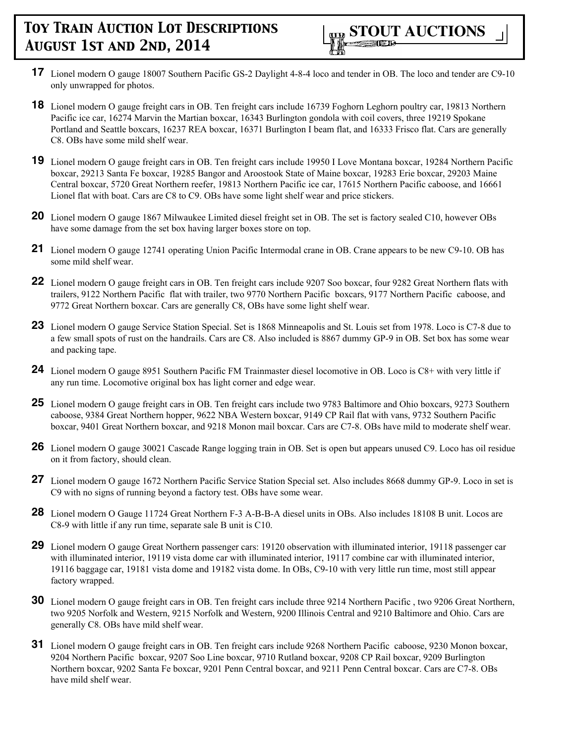- **17** Lionel modern O gauge 18007 Southern Pacific GS-2 Daylight 4-8-4 loco and tender in OB. The loco and tender are C9-10 only unwrapped for photos.
- **18** Lionel modern O gauge freight cars in OB. Ten freight cars include 16739 Foghorn Leghorn poultry car, 19813 Northern Pacific ice car, 16274 Marvin the Martian boxcar, 16343 Burlington gondola with coil covers, three 19219 Spokane Portland and Seattle boxcars, 16237 REA boxcar, 16371 Burlington I beam flat, and 16333 Frisco flat. Cars are generally C8. OBs have some mild shelf wear.
- **19** Lionel modern O gauge freight cars in OB. Ten freight cars include 19950 I Love Montana boxcar, 19284 Northern Pacific boxcar, 29213 Santa Fe boxcar, 19285 Bangor and Aroostook State of Maine boxcar, 19283 Erie boxcar, 29203 Maine Central boxcar, 5720 Great Northern reefer, 19813 Northern Pacific ice car, 17615 Northern Pacific caboose, and 16661 Lionel flat with boat. Cars are C8 to C9. OBs have some light shelf wear and price stickers.
- **20** Lionel modern O gauge 1867 Milwaukee Limited diesel freight set in OB. The set is factory sealed C10, however OBs have some damage from the set box having larger boxes store on top.
- **21** Lionel modern O gauge 12741 operating Union Pacific Intermodal crane in OB. Crane appears to be new C9-10. OB has some mild shelf wear.
- **22** Lionel modern O gauge freight cars in OB. Ten freight cars include 9207 Soo boxcar, four 9282 Great Northern flats with trailers, 9122 Northern Pacific flat with trailer, two 9770 Northern Pacific boxcars, 9177 Northern Pacific caboose, and 9772 Great Northern boxcar. Cars are generally C8, OBs have some light shelf wear.
- **23** Lionel modern O gauge Service Station Special. Set is 1868 Minneapolis and St. Louis set from 1978. Loco is C7-8 due to a few small spots of rust on the handrails. Cars are C8. Also included is 8867 dummy GP-9 in OB. Set box has some wear and packing tape.
- **24** Lionel modern O gauge 8951 Southern Pacific FM Trainmaster diesel locomotive in OB. Loco is C8+ with very little if any run time. Locomotive original box has light corner and edge wear.
- **25** Lionel modern O gauge freight cars in OB. Ten freight cars include two 9783 Baltimore and Ohio boxcars, 9273 Southern caboose, 9384 Great Northern hopper, 9622 NBA Western boxcar, 9149 CP Rail flat with vans, 9732 Southern Pacific boxcar, 9401 Great Northern boxcar, and 9218 Monon mail boxcar. Cars are C7-8. OBs have mild to moderate shelf wear.
- **26** Lionel modern O gauge 30021 Cascade Range logging train in OB. Set is open but appears unused C9. Loco has oil residue on it from factory, should clean.
- **27** Lionel modern O gauge 1672 Northern Pacific Service Station Special set. Also includes 8668 dummy GP-9. Loco in set is C9 with no signs of running beyond a factory test. OBs have some wear.
- **28** Lionel modern O Gauge 11724 Great Northern F-3 A-B-B-A diesel units in OBs. Also includes 18108 B unit. Locos are C8-9 with little if any run time, separate sale B unit is C10.
- **29** Lionel modern O gauge Great Northern passenger cars: 19120 observation with illuminated interior, 19118 passenger car with illuminated interior, 19119 vista dome car with illuminated interior, 19117 combine car with illuminated interior, 19116 baggage car, 19181 vista dome and 19182 vista dome. In OBs, C9-10 with very little run time, most still appear factory wrapped.
- **30** Lionel modern O gauge freight cars in OB. Ten freight cars include three 9214 Northern Pacific , two 9206 Great Northern, two 9205 Norfolk and Western, 9215 Norfolk and Western, 9200 Illinois Central and 9210 Baltimore and Ohio. Cars are generally C8. OBs have mild shelf wear.
- **31** Lionel modern O gauge freight cars in OB. Ten freight cars include 9268 Northern Pacific caboose, 9230 Monon boxcar, 9204 Northern Pacific boxcar, 9207 Soo Line boxcar, 9710 Rutland boxcar, 9208 CP Rail boxcar, 9209 Burlington Northern boxcar, 9202 Santa Fe boxcar, 9201 Penn Central boxcar, and 9211 Penn Central boxcar. Cars are C7-8. OBs have mild shelf wear.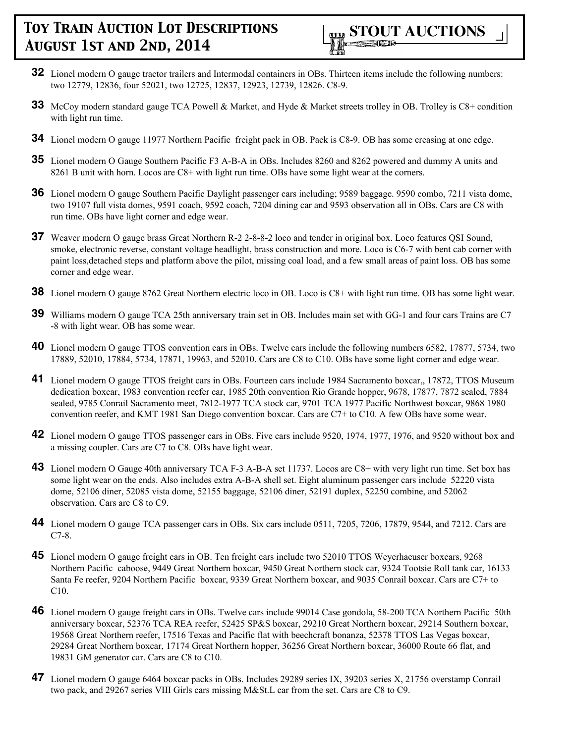

- **32** Lionel modern O gauge tractor trailers and Intermodal containers in OBs. Thirteen items include the following numbers: two 12779, 12836, four 52021, two 12725, 12837, 12923, 12739, 12826. C8-9.
- **33** McCoy modern standard gauge TCA Powell & Market, and Hyde & Market streets trolley in OB. Trolley is C8+ condition with light run time.
- **34** Lionel modern O gauge 11977 Northern Pacific freight pack in OB. Pack is C8-9. OB has some creasing at one edge.
- **35** Lionel modern O Gauge Southern Pacific F3 A-B-A in OBs. Includes 8260 and 8262 powered and dummy A units and 8261 B unit with horn. Locos are C8+ with light run time. OBs have some light wear at the corners.
- **36** Lionel modern O gauge Southern Pacific Daylight passenger cars including; 9589 baggage. 9590 combo, 7211 vista dome, two 19107 full vista domes, 9591 coach, 9592 coach, 7204 dining car and 9593 observation all in OBs. Cars are C8 with run time. OBs have light corner and edge wear.
- **37** Weaver modern O gauge brass Great Northern R-2 2-8-8-2 loco and tender in original box. Loco features QSI Sound, smoke, electronic reverse, constant voltage headlight, brass construction and more. Loco is C6-7 with bent cab corner with paint loss,detached steps and platform above the pilot, missing coal load, and a few small areas of paint loss. OB has some corner and edge wear.
- **38** Lionel modern O gauge 8762 Great Northern electric loco in OB. Loco is C8+ with light run time. OB has some light wear.
- **39** Williams modern O gauge TCA 25th anniversary train set in OB. Includes main set with GG-1 and four cars Trains are C7 -8 with light wear. OB has some wear.
- **40** Lionel modern O gauge TTOS convention cars in OBs. Twelve cars include the following numbers 6582, 17877, 5734, two 17889, 52010, 17884, 5734, 17871, 19963, and 52010. Cars are C8 to C10. OBs have some light corner and edge wear.
- **41** Lionel modern O gauge TTOS freight cars in OBs. Fourteen cars include 1984 Sacramento boxcar,, 17872, TTOS Museum dedication boxcar, 1983 convention reefer car, 1985 20th convention Rio Grande hopper, 9678, 17877, 7872 sealed, 7884 sealed, 9785 Conrail Sacramento meet, 7812-1977 TCA stock car, 9701 TCA 1977 Pacific Northwest boxcar, 9868 1980 convention reefer, and KMT 1981 San Diego convention boxcar. Cars are C7+ to C10. A few OBs have some wear.
- **42** Lionel modern O gauge TTOS passenger cars in OBs. Five cars include 9520, 1974, 1977, 1976, and 9520 without box and a missing coupler. Cars are C7 to C8. OBs have light wear.
- **43** Lionel modern O Gauge 40th anniversary TCA F-3 A-B-A set 11737. Locos are C8+ with very light run time. Set box has some light wear on the ends. Also includes extra A-B-A shell set. Eight aluminum passenger cars include 52220 vista dome, 52106 diner, 52085 vista dome, 52155 baggage, 52106 diner, 52191 duplex, 52250 combine, and 52062 observation. Cars are C8 to C9.
- **44** Lionel modern O gauge TCA passenger cars in OBs. Six cars include 0511, 7205, 7206, 17879, 9544, and 7212. Cars are C7-8.
- **45** Lionel modern O gauge freight cars in OB. Ten freight cars include two 52010 TTOS Weyerhaeuser boxcars, 9268 Northern Pacific caboose, 9449 Great Northern boxcar, 9450 Great Northern stock car, 9324 Tootsie Roll tank car, 16133 Santa Fe reefer, 9204 Northern Pacific boxcar, 9339 Great Northern boxcar, and 9035 Conrail boxcar. Cars are C7+ to C10.
- **46** Lionel modern O gauge freight cars in OBs. Twelve cars include 99014 Case gondola, 58-200 TCA Northern Pacific 50th anniversary boxcar, 52376 TCA REA reefer, 52425 SP&S boxcar, 29210 Great Northern boxcar, 29214 Southern boxcar, 19568 Great Northern reefer, 17516 Texas and Pacific flat with beechcraft bonanza, 52378 TTOS Las Vegas boxcar, 29284 Great Northern boxcar, 17174 Great Northern hopper, 36256 Great Northern boxcar, 36000 Route 66 flat, and 19831 GM generator car. Cars are C8 to C10.
- **47** Lionel modern O gauge 6464 boxcar packs in OBs. Includes 29289 series IX, 39203 series X, 21756 overstamp Conrail two pack, and 29267 series VIII Girls cars missing M&St.L car from the set. Cars are C8 to C9.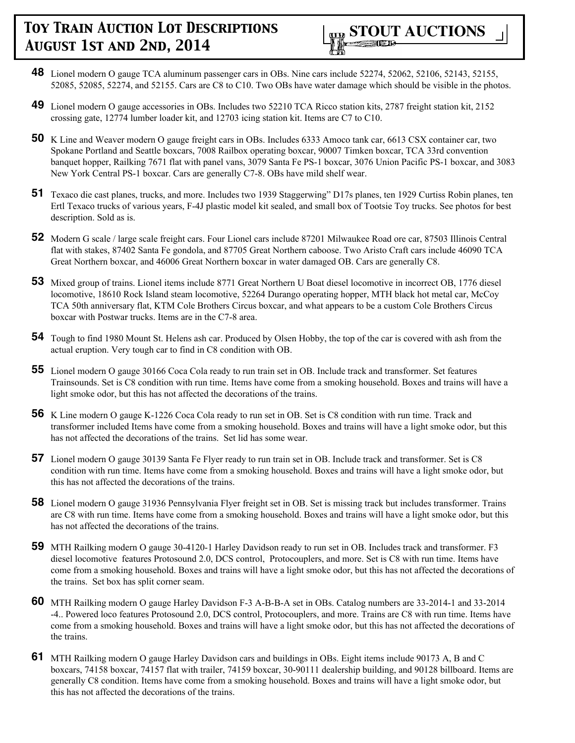- **48** Lionel modern O gauge TCA aluminum passenger cars in OBs. Nine cars include 52274, 52062, 52106, 52143, 52155, 52085, 52085, 52274, and 52155. Cars are C8 to C10. Two OBs have water damage which should be visible in the photos.
- **49** Lionel modern O gauge accessories in OBs. Includes two 52210 TCA Ricco station kits, 2787 freight station kit, 2152 crossing gate, 12774 lumber loader kit, and 12703 icing station kit. Items are C7 to C10.
- **50** K Line and Weaver modern O gauge freight cars in OBs. Includes 6333 Amoco tank car, 6613 CSX container car, two Spokane Portland and Seattle boxcars, 7008 Railbox operating boxcar, 90007 Timken boxcar, TCA 33rd convention banquet hopper, Railking 7671 flat with panel vans, 3079 Santa Fe PS-1 boxcar, 3076 Union Pacific PS-1 boxcar, and 3083 New York Central PS-1 boxcar. Cars are generally C7-8. OBs have mild shelf wear.
- **51** Texaco die cast planes, trucks, and more. Includes two 1939 Staggerwing" D17s planes, ten 1929 Curtiss Robin planes, ten Ertl Texaco trucks of various years, F-4J plastic model kit sealed, and small box of Tootsie Toy trucks. See photos for best description. Sold as is.
- **52** Modern G scale / large scale freight cars. Four Lionel cars include 87201 Milwaukee Road ore car, 87503 Illinois Central flat with stakes, 87402 Santa Fe gondola, and 87705 Great Northern caboose. Two Aristo Craft cars include 46090 TCA Great Northern boxcar, and 46006 Great Northern boxcar in water damaged OB. Cars are generally C8.
- **53** Mixed group of trains. Lionel items include 8771 Great Northern U Boat diesel locomotive in incorrect OB, 1776 diesel locomotive, 18610 Rock Island steam locomotive, 52264 Durango operating hopper, MTH black hot metal car, McCoy TCA 50th anniversary flat, KTM Cole Brothers Circus boxcar, and what appears to be a custom Cole Brothers Circus boxcar with Postwar trucks. Items are in the C7-8 area.
- **54** Tough to find 1980 Mount St. Helens ash car. Produced by Olsen Hobby, the top of the car is covered with ash from the actual eruption. Very tough car to find in C8 condition with OB.
- **55** Lionel modern O gauge 30166 Coca Cola ready to run train set in OB. Include track and transformer. Set features Trainsounds. Set is C8 condition with run time. Items have come from a smoking household. Boxes and trains will have a light smoke odor, but this has not affected the decorations of the trains.
- **56** K Line modern O gauge K-1226 Coca Cola ready to run set in OB. Set is C8 condition with run time. Track and transformer included Items have come from a smoking household. Boxes and trains will have a light smoke odor, but this has not affected the decorations of the trains. Set lid has some wear.
- **57** Lionel modern O gauge 30139 Santa Fe Flyer ready to run train set in OB. Include track and transformer. Set is C8 condition with run time. Items have come from a smoking household. Boxes and trains will have a light smoke odor, but this has not affected the decorations of the trains.
- **58** Lionel modern O gauge 31936 Pennsylvania Flyer freight set in OB. Set is missing track but includes transformer. Trains are C8 with run time. Items have come from a smoking household. Boxes and trains will have a light smoke odor, but this has not affected the decorations of the trains.
- **59** MTH Railking modern O gauge 30-4120-1 Harley Davidson ready to run set in OB. Includes track and transformer. F3 diesel locomotive features Protosound 2.0, DCS control, Protocouplers, and more. Set is C8 with run time. Items have come from a smoking household. Boxes and trains will have a light smoke odor, but this has not affected the decorations of the trains. Set box has split corner seam.
- **60** MTH Railking modern O gauge Harley Davidson F-3 A-B-B-A set in OBs. Catalog numbers are 33-2014-1 and 33-2014 -4.. Powered loco features Protosound 2.0, DCS control, Protocouplers, and more. Trains are C8 with run time. Items have come from a smoking household. Boxes and trains will have a light smoke odor, but this has not affected the decorations of the trains.
- **61** MTH Railking modern O gauge Harley Davidson cars and buildings in OBs. Eight items include 90173 A, B and C boxcars, 74158 boxcar, 74157 flat with trailer, 74159 boxcar, 30-90111 dealership building, and 90128 billboard. Items are generally C8 condition. Items have come from a smoking household. Boxes and trains will have a light smoke odor, but this has not affected the decorations of the trains.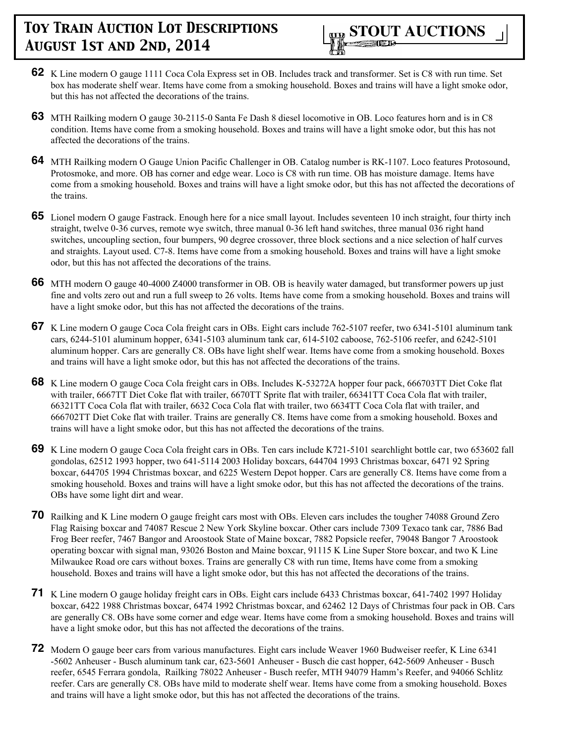- **62** K Line modern O gauge 1111 Coca Cola Express set in OB. Includes track and transformer. Set is C8 with run time. Set box has moderate shelf wear. Items have come from a smoking household. Boxes and trains will have a light smoke odor, but this has not affected the decorations of the trains.
- **63** MTH Railking modern O gauge 30-2115-0 Santa Fe Dash 8 diesel locomotive in OB. Loco features horn and is in C8 condition. Items have come from a smoking household. Boxes and trains will have a light smoke odor, but this has not affected the decorations of the trains.
- **64** MTH Railking modern O Gauge Union Pacific Challenger in OB. Catalog number is RK-1107. Loco features Protosound, Protosmoke, and more. OB has corner and edge wear. Loco is C8 with run time. OB has moisture damage. Items have come from a smoking household. Boxes and trains will have a light smoke odor, but this has not affected the decorations of the trains.
- **65** Lionel modern O gauge Fastrack. Enough here for a nice small layout. Includes seventeen 10 inch straight, four thirty inch straight, twelve 0-36 curves, remote wye switch, three manual 0-36 left hand switches, three manual 036 right hand switches, uncoupling section, four bumpers, 90 degree crossover, three block sections and a nice selection of half curves and straights. Layout used. C7-8. Items have come from a smoking household. Boxes and trains will have a light smoke odor, but this has not affected the decorations of the trains.
- **66** MTH modern O gauge 40-4000 Z4000 transformer in OB. OB is heavily water damaged, but transformer powers up just fine and volts zero out and run a full sweep to 26 volts. Items have come from a smoking household. Boxes and trains will have a light smoke odor, but this has not affected the decorations of the trains.
- **67** K Line modern O gauge Coca Cola freight cars in OBs. Eight cars include 762-5107 reefer, two 6341-5101 aluminum tank cars, 6244-5101 aluminum hopper, 6341-5103 aluminum tank car, 614-5102 caboose, 762-5106 reefer, and 6242-5101 aluminum hopper. Cars are generally C8. OBs have light shelf wear. Items have come from a smoking household. Boxes and trains will have a light smoke odor, but this has not affected the decorations of the trains.
- **68** K Line modern O gauge Coca Cola freight cars in OBs. Includes K-53272A hopper four pack, 666703TT Diet Coke flat with trailer, 6667TT Diet Coke flat with trailer, 6670TT Sprite flat with trailer, 66341TT Coca Cola flat with trailer, 66321TT Coca Cola flat with trailer, 6632 Coca Cola flat with trailer, two 6634TT Coca Cola flat with trailer, and 666702TT Diet Coke flat with trailer. Trains are generally C8. Items have come from a smoking household. Boxes and trains will have a light smoke odor, but this has not affected the decorations of the trains.
- **69** K Line modern O gauge Coca Cola freight cars in OBs. Ten cars include K721-5101 searchlight bottle car, two 653602 fall gondolas, 62512 1993 hopper, two 641-5114 2003 Holiday boxcars, 644704 1993 Christmas boxcar, 6471 92 Spring boxcar, 644705 1994 Christmas boxcar, and 6225 Western Depot hopper. Cars are generally C8. Items have come from a smoking household. Boxes and trains will have a light smoke odor, but this has not affected the decorations of the trains. OBs have some light dirt and wear.
- **70** Railking and K Line modern O gauge freight cars most with OBs. Eleven cars includes the tougher 74088 Ground Zero Flag Raising boxcar and 74087 Rescue 2 New York Skyline boxcar. Other cars include 7309 Texaco tank car, 7886 Bad Frog Beer reefer, 7467 Bangor and Aroostook State of Maine boxcar, 7882 Popsicle reefer, 79048 Bangor 7 Aroostook operating boxcar with signal man, 93026 Boston and Maine boxcar, 91115 K Line Super Store boxcar, and two K Line Milwaukee Road ore cars without boxes. Trains are generally C8 with run time, Items have come from a smoking household. Boxes and trains will have a light smoke odor, but this has not affected the decorations of the trains.
- **71** K Line modern O gauge holiday freight cars in OBs. Eight cars include 6433 Christmas boxcar, 641-7402 1997 Holiday boxcar, 6422 1988 Christmas boxcar, 6474 1992 Christmas boxcar, and 62462 12 Days of Christmas four pack in OB. Cars are generally C8. OBs have some corner and edge wear. Items have come from a smoking household. Boxes and trains will have a light smoke odor, but this has not affected the decorations of the trains.
- **72** Modern O gauge beer cars from various manufactures. Eight cars include Weaver 1960 Budweiser reefer, K Line 6341 -5602 Anheuser - Busch aluminum tank car, 623-5601 Anheuser - Busch die cast hopper, 642-5609 Anheuser - Busch reefer, 6545 Ferrara gondola, Railking 78022 Anheuser - Busch reefer, MTH 94079 Hamm's Reefer, and 94066 Schlitz reefer. Cars are generally C8. OBs have mild to moderate shelf wear. Items have come from a smoking household. Boxes and trains will have a light smoke odor, but this has not affected the decorations of the trains.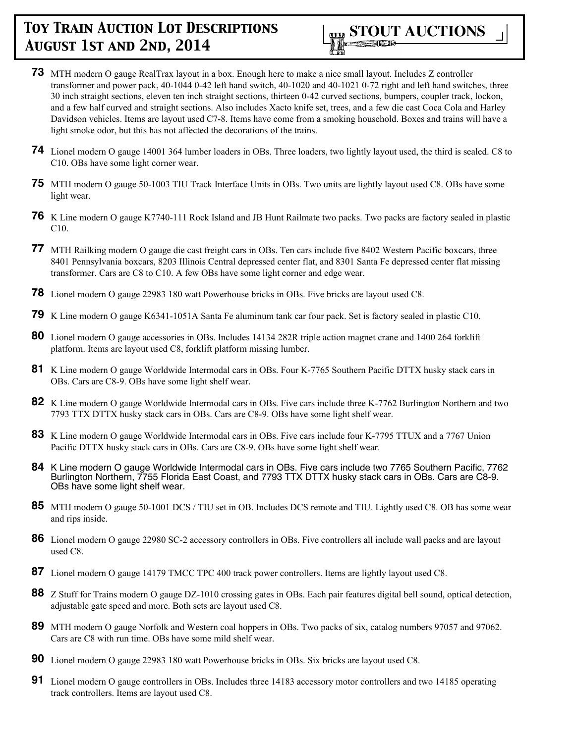

- **73** MTH modern O gauge RealTrax layout in a box. Enough here to make a nice small layout. Includes Z controller transformer and power pack, 40-1044 0-42 left hand switch, 40-1020 and 40-1021 0-72 right and left hand switches, three 30 inch straight sections, eleven ten inch straight sections, thirteen 0-42 curved sections, bumpers, coupler track, lockon, and a few half curved and straight sections. Also includes Xacto knife set, trees, and a few die cast Coca Cola and Harley Davidson vehicles. Items are layout used C7-8. Items have come from a smoking household. Boxes and trains will have a light smoke odor, but this has not affected the decorations of the trains.
- **74** Lionel modern O gauge 14001 364 lumber loaders in OBs. Three loaders, two lightly layout used, the third is sealed. C8 to C10. OBs have some light corner wear.
- **75** MTH modern O gauge 50-1003 TIU Track Interface Units in OBs. Two units are lightly layout used C8. OBs have some light wear.
- **76** K Line modern O gauge K7740-111 Rock Island and JB Hunt Railmate two packs. Two packs are factory sealed in plastic C10.
- **77** MTH Railking modern O gauge die cast freight cars in OBs. Ten cars include five 8402 Western Pacific boxcars, three 8401 Pennsylvania boxcars, 8203 Illinois Central depressed center flat, and 8301 Santa Fe depressed center flat missing transformer. Cars are C8 to C10. A few OBs have some light corner and edge wear.
- **78** Lionel modern O gauge 22983 180 watt Powerhouse bricks in OBs. Five bricks are layout used C8.
- **79** K Line modern O gauge K6341-1051A Santa Fe aluminum tank car four pack. Set is factory sealed in plastic C10.
- **80** Lionel modern O gauge accessories in OBs. Includes 14134 282R triple action magnet crane and 1400 264 forklift platform. Items are layout used C8, forklift platform missing lumber.
- **81** K Line modern O gauge Worldwide Intermodal cars in OBs. Four K-7765 Southern Pacific DTTX husky stack cars in OBs. Cars are C8-9. OBs have some light shelf wear.
- **82** K Line modern O gauge Worldwide Intermodal cars in OBs. Five cars include three K-7762 Burlington Northern and two 7793 TTX DTTX husky stack cars in OBs. Cars are C8-9. OBs have some light shelf wear.
- **83** K Line modern O gauge Worldwide Intermodal cars in OBs. Five cars include four K-7795 TTUX and a 7767 Union Pacific DTTX husky stack cars in OBs. Cars are C8-9. OBs have some light shelf wear.
- **84** K Line modern O gauge Worldwide Intermodal cars in OBs. Five cars include two 7765 Southern Pacific, 7762 Burlington Northern, 7755 Florida East Coast, and 7793 TTX DTTX husky stack cars in OBs. Cars are C8-9. OBs have some light shelf wear.
- **85** MTH modern O gauge 50-1001 DCS / TIU set in OB. Includes DCS remote and TIU. Lightly used C8. OB has some wear and rips inside.
- **86** Lionel modern O gauge 22980 SC-2 accessory controllers in OBs. Five controllers all include wall packs and are layout used C8.
- **87** Lionel modern O gauge 14179 TMCC TPC 400 track power controllers. Items are lightly layout used C8.
- **88** Z Stuff for Trains modern O gauge DZ-1010 crossing gates in OBs. Each pair features digital bell sound, optical detection, adjustable gate speed and more. Both sets are layout used C8.
- **89** MTH modern O gauge Norfolk and Western coal hoppers in OBs. Two packs of six, catalog numbers 97057 and 97062. Cars are C8 with run time. OBs have some mild shelf wear.
- **90** Lionel modern O gauge 22983 180 watt Powerhouse bricks in OBs. Six bricks are layout used C8.
- **91** Lionel modern O gauge controllers in OBs. Includes three 14183 accessory motor controllers and two 14185 operating track controllers. Items are layout used C8.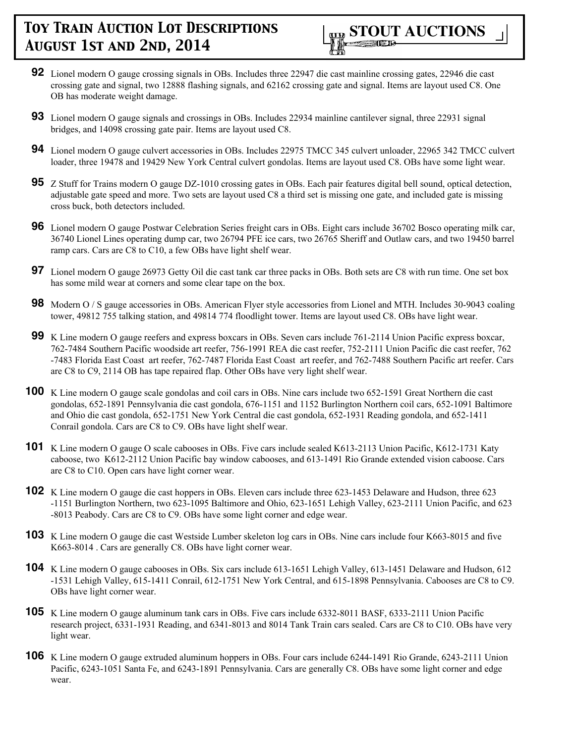

- **92** Lionel modern O gauge crossing signals in OBs. Includes three 22947 die cast mainline crossing gates, 22946 die cast crossing gate and signal, two 12888 flashing signals, and 62162 crossing gate and signal. Items are layout used C8. One OB has moderate weight damage.
- **93** Lionel modern O gauge signals and crossings in OBs. Includes 22934 mainline cantilever signal, three 22931 signal bridges, and 14098 crossing gate pair. Items are layout used C8.
- **94** Lionel modern O gauge culvert accessories in OBs. Includes 22975 TMCC 345 culvert unloader, 22965 342 TMCC culvert loader, three 19478 and 19429 New York Central culvert gondolas. Items are layout used C8. OBs have some light wear.
- **95** Z Stuff for Trains modern O gauge DZ-1010 crossing gates in OBs. Each pair features digital bell sound, optical detection, adjustable gate speed and more. Two sets are layout used C8 a third set is missing one gate, and included gate is missing cross buck, both detectors included.
- **96** Lionel modern O gauge Postwar Celebration Series freight cars in OBs. Eight cars include 36702 Bosco operating milk car, 36740 Lionel Lines operating dump car, two 26794 PFE ice cars, two 26765 Sheriff and Outlaw cars, and two 19450 barrel ramp cars. Cars are C8 to C10, a few OBs have light shelf wear.
- **97** Lionel modern O gauge 26973 Getty Oil die cast tank car three packs in OBs. Both sets are C8 with run time. One set box has some mild wear at corners and some clear tape on the box.
- **98** Modern O / S gauge accessories in OBs. American Flyer style accessories from Lionel and MTH. Includes 30-9043 coaling tower, 49812 755 talking station, and 49814 774 floodlight tower. Items are layout used C8. OBs have light wear.
- **99** K Line modern O gauge reefers and express boxcars in OBs. Seven cars include 761-2114 Union Pacific express boxcar, 762-7484 Southern Pacific woodside art reefer, 756-1991 REA die cast reefer, 752-2111 Union Pacific die cast reefer, 762 -7483 Florida East Coast art reefer, 762-7487 Florida East Coast art reefer, and 762-7488 Southern Pacific art reefer. Cars are C8 to C9, 2114 OB has tape repaired flap. Other OBs have very light shelf wear.
- **100** K Line modern O gauge scale gondolas and coil cars in OBs. Nine cars include two 652-1591 Great Northern die cast gondolas, 652-1891 Pennsylvania die cast gondola, 676-1151 and 1152 Burlington Northern coil cars, 652-1091 Baltimore and Ohio die cast gondola, 652-1751 New York Central die cast gondola, 652-1931 Reading gondola, and 652-1411 Conrail gondola. Cars are C8 to C9. OBs have light shelf wear.
- **101** K Line modern O gauge O scale cabooses in OBs. Five cars include sealed K613-2113 Union Pacific, K612-1731 Katy caboose, two K612-2112 Union Pacific bay window cabooses, and 613-1491 Rio Grande extended vision caboose. Cars are C8 to C10. Open cars have light corner wear.
- **102** K Line modern O gauge die cast hoppers in OBs. Eleven cars include three 623-1453 Delaware and Hudson, three 623 -1151 Burlington Northern, two 623-1095 Baltimore and Ohio, 623-1651 Lehigh Valley, 623-2111 Union Pacific, and 623 -8013 Peabody. Cars are C8 to C9. OBs have some light corner and edge wear.
- **103** K Line modern O gauge die cast Westside Lumber skeleton log cars in OBs. Nine cars include four K663-8015 and five K663-8014 . Cars are generally C8. OBs have light corner wear.
- **104** K Line modern O gauge cabooses in OBs. Six cars include 613-1651 Lehigh Valley, 613-1451 Delaware and Hudson, 612 -1531 Lehigh Valley, 615-1411 Conrail, 612-1751 New York Central, and 615-1898 Pennsylvania. Cabooses are C8 to C9. OBs have light corner wear.
- **105** K Line modern O gauge aluminum tank cars in OBs. Five cars include 6332-8011 BASF, 6333-2111 Union Pacific research project, 6331-1931 Reading, and 6341-8013 and 8014 Tank Train cars sealed. Cars are C8 to C10. OBs have very light wear.
- **106** K Line modern O gauge extruded aluminum hoppers in OBs. Four cars include 6244-1491 Rio Grande, 6243-2111 Union Pacific, 6243-1051 Santa Fe, and 6243-1891 Pennsylvania. Cars are generally C8. OBs have some light corner and edge wear.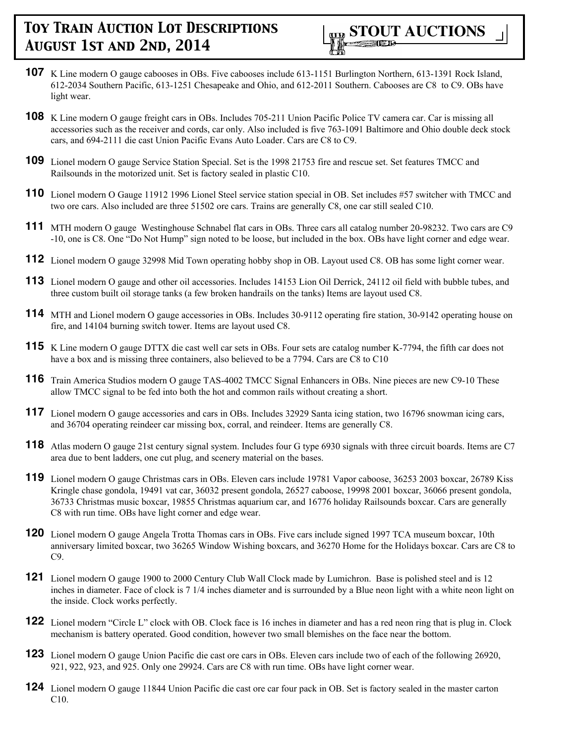

- **107** K Line modern O gauge cabooses in OBs. Five cabooses include 613-1151 Burlington Northern, 613-1391 Rock Island, 612-2034 Southern Pacific, 613-1251 Chesapeake and Ohio, and 612-2011 Southern. Cabooses are C8 to C9. OBs have light wear.
- **108** K Line modern O gauge freight cars in OBs. Includes 705-211 Union Pacific Police TV camera car. Car is missing all accessories such as the receiver and cords, car only. Also included is five 763-1091 Baltimore and Ohio double deck stock cars, and 694-2111 die cast Union Pacific Evans Auto Loader. Cars are C8 to C9.
- **109** Lionel modern O gauge Service Station Special. Set is the 1998 21753 fire and rescue set. Set features TMCC and Railsounds in the motorized unit. Set is factory sealed in plastic C10.
- **110** Lionel modern O Gauge 11912 1996 Lionel Steel service station special in OB. Set includes #57 switcher with TMCC and two ore cars. Also included are three 51502 ore cars. Trains are generally C8, one car still sealed C10.
- **111** MTH modern O gauge Westinghouse Schnabel flat cars in OBs. Three cars all catalog number 20-98232. Two cars are C9 -10, one is C8. One "Do Not Hump" sign noted to be loose, but included in the box. OBs have light corner and edge wear.
- **112** Lionel modern O gauge 32998 Mid Town operating hobby shop in OB. Layout used C8. OB has some light corner wear.
- **113** Lionel modern O gauge and other oil accessories. Includes 14153 Lion Oil Derrick, 24112 oil field with bubble tubes, and three custom built oil storage tanks (a few broken handrails on the tanks) Items are layout used C8.
- **114** MTH and Lionel modern O gauge accessories in OBs. Includes 30-9112 operating fire station, 30-9142 operating house on fire, and 14104 burning switch tower. Items are layout used C8.
- **115** K Line modern O gauge DTTX die cast well car sets in OBs. Four sets are catalog number K-7794, the fifth car does not have a box and is missing three containers, also believed to be a 7794. Cars are C8 to C10
- **116** Train America Studios modern O gauge TAS-4002 TMCC Signal Enhancers in OBs. Nine pieces are new C9-10 These allow TMCC signal to be fed into both the hot and common rails without creating a short.
- **117** Lionel modern O gauge accessories and cars in OBs. Includes 32929 Santa icing station, two 16796 snowman icing cars, and 36704 operating reindeer car missing box, corral, and reindeer. Items are generally C8.
- **118** Atlas modern O gauge 21st century signal system. Includes four G type 6930 signals with three circuit boards. Items are C7 area due to bent ladders, one cut plug, and scenery material on the bases.
- **119** Lionel modern O gauge Christmas cars in OBs. Eleven cars include 19781 Vapor caboose, 36253 2003 boxcar, 26789 Kiss Kringle chase gondola, 19491 vat car, 36032 present gondola, 26527 caboose, 19998 2001 boxcar, 36066 present gondola, 36733 Christmas music boxcar, 19855 Christmas aquarium car, and 16776 holiday Railsounds boxcar. Cars are generally C8 with run time. OBs have light corner and edge wear.
- **120** Lionel modern O gauge Angela Trotta Thomas cars in OBs. Five cars include signed 1997 TCA museum boxcar, 10th anniversary limited boxcar, two 36265 Window Wishing boxcars, and 36270 Home for the Holidays boxcar. Cars are C8 to C9.
- **121** Lionel modern O gauge 1900 to 2000 Century Club Wall Clock made by Lumichron. Base is polished steel and is 12 inches in diameter. Face of clock is 7 1/4 inches diameter and is surrounded by a Blue neon light with a white neon light on the inside. Clock works perfectly.
- **122** Lionel modern "Circle L" clock with OB. Clock face is 16 inches in diameter and has a red neon ring that is plug in. Clock mechanism is battery operated. Good condition, however two small blemishes on the face near the bottom.
- **123** Lionel modern O gauge Union Pacific die cast ore cars in OBs. Eleven cars include two of each of the following 26920, 921, 922, 923, and 925. Only one 29924. Cars are C8 with run time. OBs have light corner wear.
- **124** Lionel modern O gauge 11844 Union Pacific die cast ore car four pack in OB. Set is factory sealed in the master carton C10.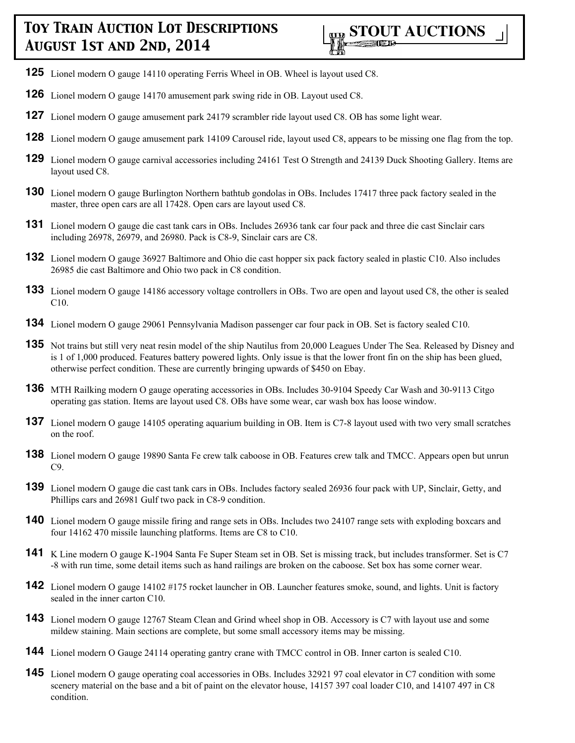- **125** Lionel modern O gauge 14110 operating Ferris Wheel in OB. Wheel is layout used C8.
- **126** Lionel modern O gauge 14170 amusement park swing ride in OB. Layout used C8.
- **127** Lionel modern O gauge amusement park 24179 scrambler ride layout used C8. OB has some light wear.
- **128** Lionel modern O gauge amusement park 14109 Carousel ride, layout used C8, appears to be missing one flag from the top.
- **129** Lionel modern O gauge carnival accessories including 24161 Test O Strength and 24139 Duck Shooting Gallery. Items are layout used C8.
- **130** Lionel modern O gauge Burlington Northern bathtub gondolas in OBs. Includes 17417 three pack factory sealed in the master, three open cars are all 17428. Open cars are layout used C8.
- **131** Lionel modern O gauge die cast tank cars in OBs. Includes 26936 tank car four pack and three die cast Sinclair cars including 26978, 26979, and 26980. Pack is C8-9, Sinclair cars are C8.
- **132** Lionel modern O gauge 36927 Baltimore and Ohio die cast hopper six pack factory sealed in plastic C10. Also includes 26985 die cast Baltimore and Ohio two pack in C8 condition.
- **133** Lionel modern O gauge 14186 accessory voltage controllers in OBs. Two are open and layout used C8, the other is sealed C10.
- **134** Lionel modern O gauge 29061 Pennsylvania Madison passenger car four pack in OB. Set is factory sealed C10.
- **135** Not trains but still very neat resin model of the ship Nautilus from 20,000 Leagues Under The Sea. Released by Disney and is 1 of 1,000 produced. Features battery powered lights. Only issue is that the lower front fin on the ship has been glued, otherwise perfect condition. These are currently bringing upwards of \$450 on Ebay.
- **136** MTH Railking modern O gauge operating accessories in OBs. Includes 30-9104 Speedy Car Wash and 30-9113 Citgo operating gas station. Items are layout used C8. OBs have some wear, car wash box has loose window.
- **137** Lionel modern O gauge 14105 operating aquarium building in OB. Item is C7-8 layout used with two very small scratches on the roof.
- **138** Lionel modern O gauge 19890 Santa Fe crew talk caboose in OB. Features crew talk and TMCC. Appears open but unrun C9.
- **139** Lionel modern O gauge die cast tank cars in OBs. Includes factory sealed 26936 four pack with UP, Sinclair, Getty, and Phillips cars and 26981 Gulf two pack in C8-9 condition.
- **140** Lionel modern O gauge missile firing and range sets in OBs. Includes two 24107 range sets with exploding boxcars and four 14162 470 missile launching platforms. Items are C8 to C10.
- **141** K Line modern O gauge K-1904 Santa Fe Super Steam set in OB. Set is missing track, but includes transformer. Set is C7 -8 with run time, some detail items such as hand railings are broken on the caboose. Set box has some corner wear.
- **142** Lionel modern O gauge 14102 #175 rocket launcher in OB. Launcher features smoke, sound, and lights. Unit is factory sealed in the inner carton C10.
- **143** Lionel modern O gauge 12767 Steam Clean and Grind wheel shop in OB. Accessory is C7 with layout use and some mildew staining. Main sections are complete, but some small accessory items may be missing.
- **144** Lionel modern O Gauge 24114 operating gantry crane with TMCC control in OB. Inner carton is sealed C10.
- **145** Lionel modern O gauge operating coal accessories in OBs. Includes 32921 97 coal elevator in C7 condition with some scenery material on the base and a bit of paint on the elevator house, 14157 397 coal loader C10, and 14107 497 in C8 condition.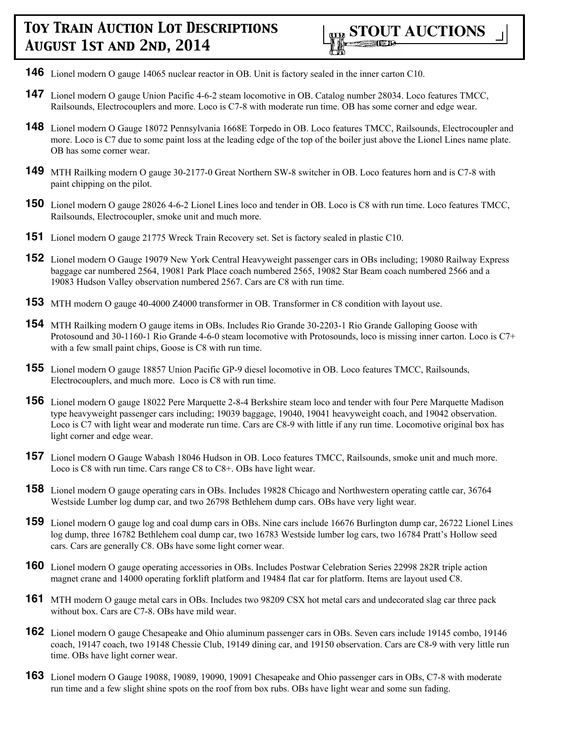

- **146** Lionel modern O gauge 14065 nuclear reactor in OB. Unit is factory sealed in the inner carton C10.
- **147** Lionel modern O gauge Union Pacific 4-6-2 steam locomotive in OB. Catalog number 28034. Loco features TMCC, Railsounds, Electrocouplers and more. Loco is C7-8 with moderate run time. OB has some corner and edge wear.
- **148** Lionel modern O Gauge 18072 Pennsylvania 1668E Torpedo in OB. Loco features TMCC, Railsounds, Electrocoupler and more. Loco is C7 due to some paint loss at the leading edge of the top of the boiler just above the Lionel Lines name plate. OB has some corner wear.
- **149** MTH Railking modern O gauge 30-2177-0 Great Northern SW-8 switcher in OB. Loco features horn and is C7-8 with paint chipping on the pilot.
- **150** Lionel modern O gauge 28026 4-6-2 Lionel Lines loco and tender in OB. Loco is C8 with run time. Loco features TMCC, Railsounds, Electrocoupler, smoke unit and much more.
- **151** Lionel modern O gauge 21775 Wreck Train Recovery set. Set is factory sealed in plastic C10.
- **152** Lionel modern O Gauge 19079 New York Central Heavyweight passenger cars in OBs including; 19080 Railway Express baggage car numbered 2564, 19081 Park Place coach numbered 2565, 19082 Star Beam coach numbered 2566 and a 19083 Hudson Valley observation numbered 2567. Cars are C8 with run time.
- **153** MTH modern O gauge 40-4000 Z4000 transformer in OB. Transformer in C8 condition with layout use.
- **154** MTH Railking modern O gauge items in OBs. Includes Rio Grande 30-2203-1 Rio Grande Galloping Goose with Protosound and 30-1160-1 Rio Grande 4-6-0 steam locomotive with Protosounds, loco is missing inner carton. Loco is C7+ with a few small paint chips, Goose is C8 with run time.
- **155** Lionel modern O gauge 18857 Union Pacific GP-9 diesel locomotive in OB. Loco features TMCC, Railsounds, Electrocouplers, and much more. Loco is C8 with run time.
- **156** Lionel modern O gauge 18022 Pere Marquette 2-8-4 Berkshire steam loco and tender with four Pere Marquette Madison type heavyweight passenger cars including; 19039 baggage, 19040, 19041 heavyweight coach, and 19042 observation. Loco is C7 with light wear and moderate run time. Cars are C8-9 with little if any run time. Locomotive original box has light corner and edge wear.
- **157** Lionel modern O Gauge Wabash 18046 Hudson in OB. Loco features TMCC, Railsounds, smoke unit and much more. Loco is C8 with run time. Cars range C8 to C8+. OBs have light wear.
- **158** Lionel modern O gauge operating cars in OBs. Includes 19828 Chicago and Northwestern operating cattle car, 36764 Westside Lumber log dump car, and two 26798 Bethlehem dump cars. OBs have very light wear.
- **159** Lionel modern O gauge log and coal dump cars in OBs. Nine cars include 16676 Burlington dump car, 26722 Lionel Lines log dump, three 16782 Bethlehem coal dump car, two 16783 Westside lumber log cars, two 16784 Pratt's Hollow seed cars. Cars are generally C8. OBs have some light corner wear.
- **160** Lionel modern O gauge operating accessories in OBs. Includes Postwar Celebration Series 22998 282R triple action magnet crane and 14000 operating forklift platform and 19484 flat car for platform. Items are layout used C8.
- **161** MTH modern O gauge metal cars in OBs. Includes two 98209 CSX hot metal cars and undecorated slag car three pack without box. Cars are C7-8. OBs have mild wear.
- **162** Lionel modern O gauge Chesapeake and Ohio aluminum passenger cars in OBs. Seven cars include 19145 combo, 19146 coach, 19147 coach, two 19148 Chessie Club, 19149 dining car, and 19150 observation. Cars are C8-9 with very little run time. OBs have light corner wear.
- **163** Lionel modern O Gauge 19088, 19089, 19090, 19091 Chesapeake and Ohio passenger cars in OBs, C7-8 with moderate run time and a few slight shine spots on the roof from box rubs. OBs have light wear and some sun fading.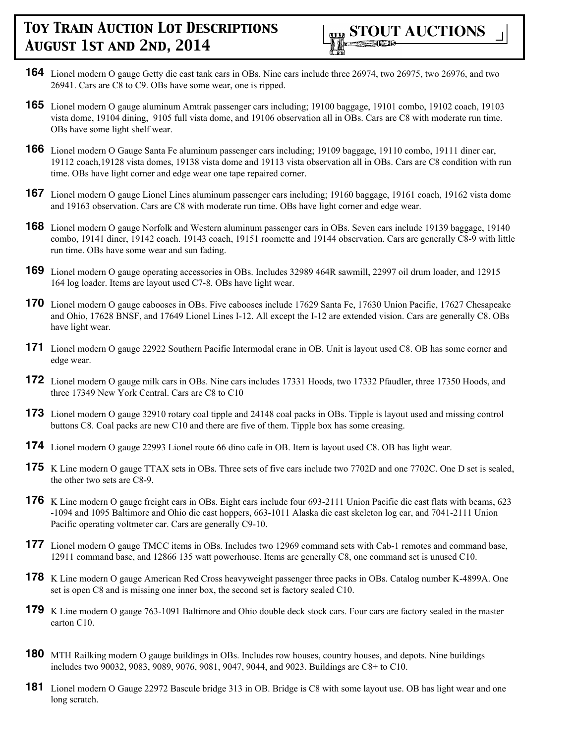- **164** Lionel modern O gauge Getty die cast tank cars in OBs. Nine cars include three 26974, two 26975, two 26976, and two 26941. Cars are C8 to C9. OBs have some wear, one is ripped.
- **165** Lionel modern O gauge aluminum Amtrak passenger cars including; 19100 baggage, 19101 combo, 19102 coach, 19103 vista dome, 19104 dining, 9105 full vista dome, and 19106 observation all in OBs. Cars are C8 with moderate run time. OBs have some light shelf wear.
- **166** Lionel modern O Gauge Santa Fe aluminum passenger cars including; 19109 baggage, 19110 combo, 19111 diner car, 19112 coach,19128 vista domes, 19138 vista dome and 19113 vista observation all in OBs. Cars are C8 condition with run time. OBs have light corner and edge wear one tape repaired corner.
- **167** Lionel modern O gauge Lionel Lines aluminum passenger cars including; 19160 baggage, 19161 coach, 19162 vista dome and 19163 observation. Cars are C8 with moderate run time. OBs have light corner and edge wear.
- **168** Lionel modern O gauge Norfolk and Western aluminum passenger cars in OBs. Seven cars include 19139 baggage, 19140 combo, 19141 diner, 19142 coach. 19143 coach, 19151 roomette and 19144 observation. Cars are generally C8-9 with little run time. OBs have some wear and sun fading.
- **169** Lionel modern O gauge operating accessories in OBs. Includes 32989 464R sawmill, 22997 oil drum loader, and 12915 164 log loader. Items are layout used C7-8. OBs have light wear.
- **170** Lionel modern O gauge cabooses in OBs. Five cabooses include 17629 Santa Fe, 17630 Union Pacific, 17627 Chesapeake and Ohio, 17628 BNSF, and 17649 Lionel Lines I-12. All except the I-12 are extended vision. Cars are generally C8. OBs have light wear.
- **171** Lionel modern O gauge 22922 Southern Pacific Intermodal crane in OB. Unit is layout used C8. OB has some corner and edge wear.
- **172** Lionel modern O gauge milk cars in OBs. Nine cars includes 17331 Hoods, two 17332 Pfaudler, three 17350 Hoods, and three 17349 New York Central. Cars are C8 to C10
- **173** Lionel modern O gauge 32910 rotary coal tipple and 24148 coal packs in OBs. Tipple is layout used and missing control buttons C8. Coal packs are new C10 and there are five of them. Tipple box has some creasing.
- **174** Lionel modern O gauge 22993 Lionel route 66 dino cafe in OB. Item is layout used C8. OB has light wear.
- **175** K Line modern O gauge TTAX sets in OBs. Three sets of five cars include two 7702D and one 7702C. One D set is sealed, the other two sets are C8-9.
- **176** K Line modern O gauge freight cars in OBs. Eight cars include four 693-2111 Union Pacific die cast flats with beams, 623 -1094 and 1095 Baltimore and Ohio die cast hoppers, 663-1011 Alaska die cast skeleton log car, and 7041-2111 Union Pacific operating voltmeter car. Cars are generally C9-10.
- **177** Lionel modern O gauge TMCC items in OBs. Includes two 12969 command sets with Cab-1 remotes and command base, 12911 command base, and 12866 135 watt powerhouse. Items are generally C8, one command set is unused C10.
- **178** K Line modern O gauge American Red Cross heavyweight passenger three packs in OBs. Catalog number K-4899A. One set is open C8 and is missing one inner box, the second set is factory sealed C10.
- **179** K Line modern O gauge 763-1091 Baltimore and Ohio double deck stock cars. Four cars are factory sealed in the master carton C10.
- **180** MTH Railking modern O gauge buildings in OBs. Includes row houses, country houses, and depots. Nine buildings includes two 90032, 9083, 9089, 9076, 9081, 9047, 9044, and 9023. Buildings are C8+ to C10.
- **181** Lionel modern O Gauge 22972 Bascule bridge 313 in OB. Bridge is C8 with some layout use. OB has light wear and one long scratch.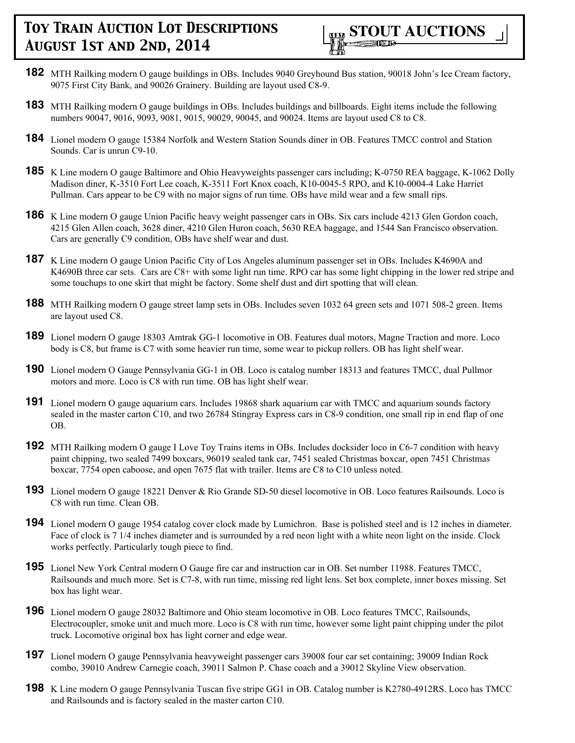

- **182** MTH Railking modern O gauge buildings in OBs. Includes 9040 Greyhound Bus station, 90018 John's Ice Cream factory, 9075 First City Bank, and 90026 Grainery. Building are layout used C8-9.
- **183** MTH Railking modern O gauge buildings in OBs. Includes buildings and billboards. Eight items include the following numbers 90047, 9016, 9093, 9081, 9015, 90029, 90045, and 90024. Items are layout used C8 to C8.
- **184** Lionel modern O gauge 15384 Norfolk and Western Station Sounds diner in OB. Features TMCC control and Station Sounds. Car is unrun C9-10.
- **185** K Line modern O gauge Baltimore and Ohio Heavyweights passenger cars including; K-0750 REA baggage, K-1062 Dolly Madison diner, K-3510 Fort Lee coach, K-3511 Fort Knox coach, K10-0045-5 RPO, and K10-0004-4 Lake Harriet Pullman. Cars appear to be C9 with no major signs of run time. OBs have mild wear and a few small rips.
- **186** K Line modern O gauge Union Pacific heavy weight passenger cars in OBs. Six cars include 4213 Glen Gordon coach, 4215 Glen Allen coach, 3628 diner, 4210 Glen Huron coach, 5630 REA baggage, and 1544 San Francisco observation. Cars are generally C9 condition, OBs have shelf wear and dust.
- **187** K Line modern O gauge Union Pacific City of Los Angeles aluminum passenger set in OBs. Includes K4690A and K4690B three car sets. Cars are C8+ with some light run time. RPO car has some light chipping in the lower red stripe and some touchups to one skirt that might be factory. Some shelf dust and dirt spotting that will clean.
- **188** MTH Railking modern O gauge street lamp sets in OBs. Includes seven 1032 64 green sets and 1071 508-2 green. Items are layout used C8.
- **189** Lionel modern O gauge 18303 Amtrak GG-1 locomotive in OB. Features dual motors, Magne Traction and more. Loco body is C8, but frame is C7 with some heavier run time, some wear to pickup rollers. OB has light shelf wear.
- **190** Lionel modern O Gauge Pennsylvania GG-1 in OB. Loco is catalog number 18313 and features TMCC, dual Pullmor motors and more. Loco is C8 with run time. OB has light shelf wear.
- **191** Lionel modern O gauge aquarium cars. Includes 19868 shark aquarium car with TMCC and aquarium sounds factory sealed in the master carton C10, and two 26784 Stingray Express cars in C8-9 condition, one small rip in end flap of one OB.
- **192** MTH Railking modern O gauge I Love Toy Trains items in OBs. Includes docksider loco in C6-7 condition with heavy paint chipping, two sealed 7499 boxcars, 96019 sealed tank car, 7451 sealed Christmas boxcar, open 7451 Christmas boxcar, 7754 open caboose, and open 7675 flat with trailer. Items are C8 to C10 unless noted.
- **193** Lionel modern O gauge 18221 Denver & Rio Grande SD-50 diesel locomotive in OB. Loco features Railsounds. Loco is C8 with run time. Clean OB.
- **194** Lionel modern O gauge 1954 catalog cover clock made by Lumichron. Base is polished steel and is 12 inches in diameter. Face of clock is 7 1/4 inches diameter and is surrounded by a red neon light with a white neon light on the inside. Clock works perfectly. Particularly tough piece to find.
- **195** Lionel New York Central modern O Gauge fire car and instruction car in OB. Set number 11988. Features TMCC, Railsounds and much more. Set is C7-8, with run time, missing red light lens. Set box complete, inner boxes missing. Set box has light wear.
- **196** Lionel modern O gauge 28032 Baltimore and Ohio steam locomotive in OB. Loco features TMCC, Railsounds, Electrocoupler, smoke unit and much more. Loco is C8 with run time, however some light paint chipping under the pilot truck. Locomotive original box has light corner and edge wear.
- **197** Lionel modern O gauge Pennsylvania heavyweight passenger cars 39008 four car set containing; 39009 Indian Rock combo, 39010 Andrew Carnegie coach, 39011 Salmon P. Chase coach and a 39012 Skyline View observation.
- **198** K Line modern O gauge Pennsylvania Tuscan five stripe GG1 in OB. Catalog number is K2780-4912RS. Loco has TMCC and Railsounds and is factory sealed in the master carton C10.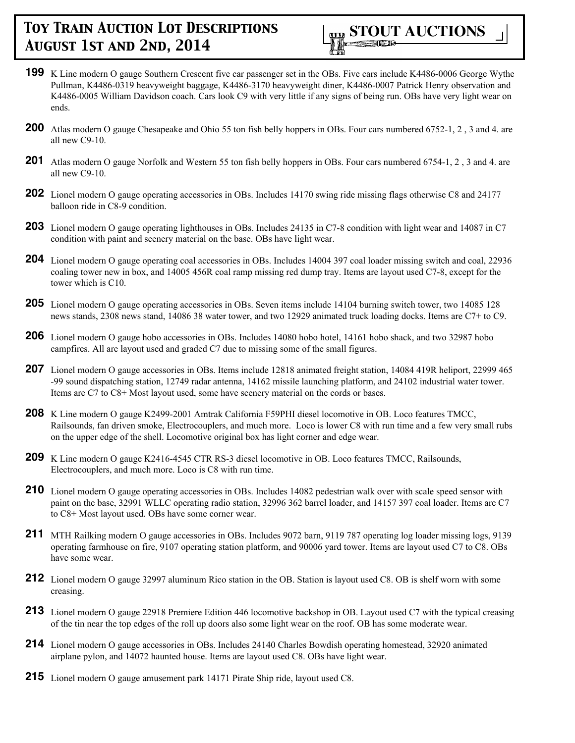

- **199** K Line modern O gauge Southern Crescent five car passenger set in the OBs. Five cars include K4486-0006 George Wythe Pullman, K4486-0319 heavyweight baggage, K4486-3170 heavyweight diner, K4486-0007 Patrick Henry observation and K4486-0005 William Davidson coach. Cars look C9 with very little if any signs of being run. OBs have very light wear on ends.
- **200** Atlas modern O gauge Chesapeake and Ohio 55 ton fish belly hoppers in OBs. Four cars numbered 6752-1, 2, 3 and 4. are all new C9-10.
- **201** Atlas modern O gauge Norfolk and Western 55 ton fish belly hoppers in OBs. Four cars numbered 6754-1, 2 , 3 and 4. are all new C9-10.
- **202** Lionel modern O gauge operating accessories in OBs. Includes 14170 swing ride missing flags otherwise C8 and 24177 balloon ride in C8-9 condition.
- **203** Lionel modern O gauge operating lighthouses in OBs. Includes 24135 in C7-8 condition with light wear and 14087 in C7 condition with paint and scenery material on the base. OBs have light wear.
- **204** Lionel modern O gauge operating coal accessories in OBs. Includes 14004 397 coal loader missing switch and coal, 22936 coaling tower new in box, and 14005 456R coal ramp missing red dump tray. Items are layout used C7-8, except for the tower which is C10.
- **205** Lionel modern O gauge operating accessories in OBs. Seven items include 14104 burning switch tower, two 14085 128 news stands, 2308 news stand, 14086 38 water tower, and two 12929 animated truck loading docks. Items are C7+ to C9.
- **206** Lionel modern O gauge hobo accessories in OBs. Includes 14080 hobo hotel, 14161 hobo shack, and two 32987 hobo campfires. All are layout used and graded C7 due to missing some of the small figures.
- **207** Lionel modern O gauge accessories in OBs. Items include 12818 animated freight station, 14084 419R heliport, 22999 465 -99 sound dispatching station, 12749 radar antenna, 14162 missile launching platform, and 24102 industrial water tower. Items are C7 to C8+ Most layout used, some have scenery material on the cords or bases.
- **208** K Line modern O gauge K2499-2001 Amtrak California F59PHI diesel locomotive in OB. Loco features TMCC, Railsounds, fan driven smoke, Electrocouplers, and much more. Loco is lower C8 with run time and a few very small rubs on the upper edge of the shell. Locomotive original box has light corner and edge wear.
- **209** K Line modern O gauge K2416-4545 CTR RS-3 diesel locomotive in OB. Loco features TMCC, Railsounds, Electrocouplers, and much more. Loco is C8 with run time.
- **210** Lionel modern O gauge operating accessories in OBs. Includes 14082 pedestrian walk over with scale speed sensor with paint on the base, 32991 WLLC operating radio station, 32996 362 barrel loader, and 14157 397 coal loader. Items are C7 to C8+ Most layout used. OBs have some corner wear.
- **211** MTH Railking modern O gauge accessories in OBs. Includes 9072 barn, 9119 787 operating log loader missing logs, 9139 operating farmhouse on fire, 9107 operating station platform, and 90006 yard tower. Items are layout used C7 to C8. OBs have some wear.
- **212** Lionel modern O gauge 32997 aluminum Rico station in the OB. Station is layout used C8. OB is shelf worn with some creasing.
- **213** Lionel modern O gauge 22918 Premiere Edition 446 locomotive backshop in OB. Layout used C7 with the typical creasing of the tin near the top edges of the roll up doors also some light wear on the roof. OB has some moderate wear.
- **214** Lionel modern O gauge accessories in OBs. Includes 24140 Charles Bowdish operating homestead, 32920 animated airplane pylon, and 14072 haunted house. Items are layout used C8. OBs have light wear.
- **215** Lionel modern O gauge amusement park 14171 Pirate Ship ride, layout used C8.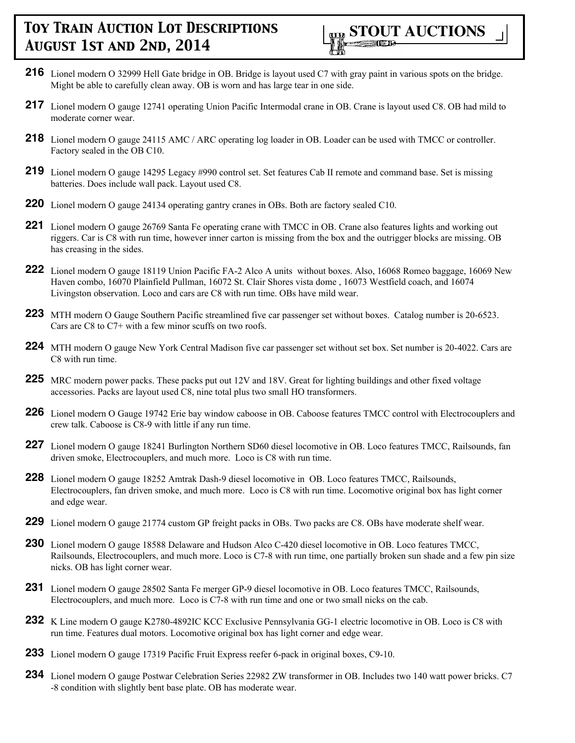

- **216** Lionel modern O 32999 Hell Gate bridge in OB. Bridge is layout used C7 with gray paint in various spots on the bridge. Might be able to carefully clean away. OB is worn and has large tear in one side.
- **217** Lionel modern O gauge 12741 operating Union Pacific Intermodal crane in OB. Crane is layout used C8. OB had mild to moderate corner wear.
- **218** Lionel modern O gauge 24115 AMC / ARC operating log loader in OB. Loader can be used with TMCC or controller. Factory sealed in the OB C10.
- **219** Lionel modern O gauge 14295 Legacy #990 control set. Set features Cab II remote and command base. Set is missing batteries. Does include wall pack. Layout used C8.
- **220** Lionel modern O gauge 24134 operating gantry cranes in OBs. Both are factory sealed C10.
- **221** Lionel modern O gauge 26769 Santa Fe operating crane with TMCC in OB. Crane also features lights and working out riggers. Car is C8 with run time, however inner carton is missing from the box and the outrigger blocks are missing. OB has creasing in the sides.
- **222** Lionel modern O gauge 18119 Union Pacific FA-2 Alco A units without boxes. Also, 16068 Romeo baggage, 16069 New Haven combo, 16070 Plainfield Pullman, 16072 St. Clair Shores vista dome , 16073 Westfield coach, and 16074 Livingston observation. Loco and cars are C8 with run time. OBs have mild wear.
- **223** MTH modern O Gauge Southern Pacific streamlined five car passenger set without boxes. Catalog number is 20-6523. Cars are C8 to C7+ with a few minor scuffs on two roofs.
- **224** MTH modern O gauge New York Central Madison five car passenger set without set box. Set number is 20-4022. Cars are C8 with run time.
- **225** MRC modern power packs. These packs put out 12V and 18V. Great for lighting buildings and other fixed voltage accessories. Packs are layout used C8, nine total plus two small HO transformers.
- **226** Lionel modern O Gauge 19742 Erie bay window caboose in OB. Caboose features TMCC control with Electrocouplers and crew talk. Caboose is C8-9 with little if any run time.
- **227** Lionel modern O gauge 18241 Burlington Northern SD60 diesel locomotive in OB. Loco features TMCC, Railsounds, fan driven smoke, Electrocouplers, and much more. Loco is C8 with run time.
- **228** Lionel modern O gauge 18252 Amtrak Dash-9 diesel locomotive in OB. Loco features TMCC, Railsounds, Electrocouplers, fan driven smoke, and much more. Loco is C8 with run time. Locomotive original box has light corner and edge wear.
- **229** Lionel modern O gauge 21774 custom GP freight packs in OBs. Two packs are C8. OBs have moderate shelf wear.
- **230** Lionel modern O gauge 18588 Delaware and Hudson Alco C-420 diesel locomotive in OB. Loco features TMCC, Railsounds, Electrocouplers, and much more. Loco is C7-8 with run time, one partially broken sun shade and a few pin size nicks. OB has light corner wear.
- **231** Lionel modern O gauge 28502 Santa Fe merger GP-9 diesel locomotive in OB. Loco features TMCC, Railsounds, Electrocouplers, and much more. Loco is C7-8 with run time and one or two small nicks on the cab.
- **232** K Line modern O gauge K2780-4892IC KCC Exclusive Pennsylvania GG-1 electric locomotive in OB. Loco is C8 with run time. Features dual motors. Locomotive original box has light corner and edge wear.
- **233** Lionel modern O gauge 17319 Pacific Fruit Express reefer 6-pack in original boxes, C9-10.
- **234** Lionel modern O gauge Postwar Celebration Series 22982 ZW transformer in OB. Includes two 140 watt power bricks. C7 -8 condition with slightly bent base plate. OB has moderate wear.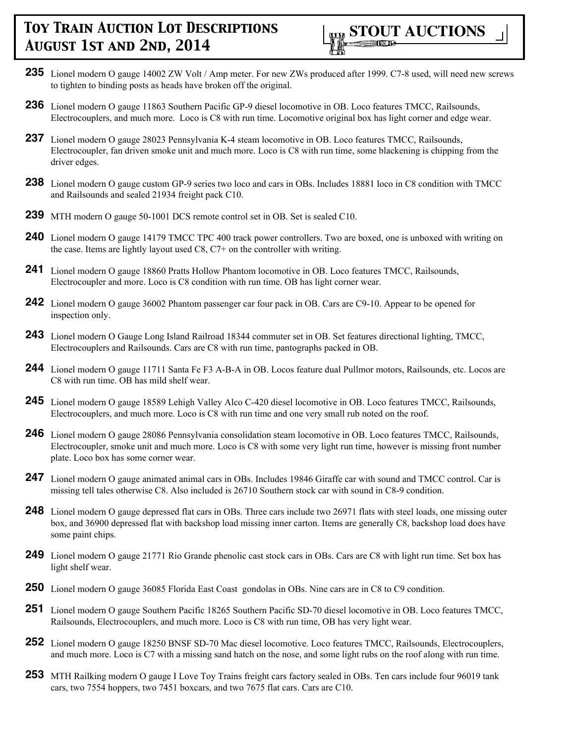

- **235** Lionel modern O gauge 14002 ZW Volt / Amp meter. For new ZWs produced after 1999. C7-8 used, will need new screws to tighten to binding posts as heads have broken off the original.
- **236** Lionel modern O gauge 11863 Southern Pacific GP-9 diesel locomotive in OB. Loco features TMCC, Railsounds, Electrocouplers, and much more. Loco is C8 with run time. Locomotive original box has light corner and edge wear.
- **237** Lionel modern O gauge 28023 Pennsylvania K-4 steam locomotive in OB. Loco features TMCC, Railsounds, Electrocoupler, fan driven smoke unit and much more. Loco is C8 with run time, some blackening is chipping from the driver edges.
- **238** Lionel modern O gauge custom GP-9 series two loco and cars in OBs. Includes 18881 loco in C8 condition with TMCC and Railsounds and sealed 21934 freight pack C10.
- **239** MTH modern O gauge 50-1001 DCS remote control set in OB. Set is sealed C10.
- **240** Lionel modern O gauge 14179 TMCC TPC 400 track power controllers. Two are boxed, one is unboxed with writing on the case. Items are lightly layout used C8, C7+ on the controller with writing.
- **241** Lionel modern O gauge 18860 Pratts Hollow Phantom locomotive in OB. Loco features TMCC, Railsounds, Electrocoupler and more. Loco is C8 condition with run time. OB has light corner wear.
- **242** Lionel modern O gauge 36002 Phantom passenger car four pack in OB. Cars are C9-10. Appear to be opened for inspection only.
- **243** Lionel modern O Gauge Long Island Railroad 18344 commuter set in OB. Set features directional lighting, TMCC, Electrocouplers and Railsounds. Cars are C8 with run time, pantographs packed in OB.
- **244** Lionel modern O gauge 11711 Santa Fe F3 A-B-A in OB. Locos feature dual Pullmor motors, Railsounds, etc. Locos are C8 with run time. OB has mild shelf wear.
- **245** Lionel modern O gauge 18589 Lehigh Valley Alco C-420 diesel locomotive in OB. Loco features TMCC, Railsounds, Electrocouplers, and much more. Loco is C8 with run time and one very small rub noted on the roof.
- **246** Lionel modern O gauge 28086 Pennsylvania consolidation steam locomotive in OB. Loco features TMCC, Railsounds, Electrocoupler, smoke unit and much more. Loco is C8 with some very light run time, however is missing front number plate. Loco box has some corner wear.
- **247** Lionel modern O gauge animated animal cars in OBs. Includes 19846 Giraffe car with sound and TMCC control. Car is missing tell tales otherwise C8. Also included is 26710 Southern stock car with sound in C8-9 condition.
- **248** Lionel modern O gauge depressed flat cars in OBs. Three cars include two 26971 flats with steel loads, one missing outer box, and 36900 depressed flat with backshop load missing inner carton. Items are generally C8, backshop load does have some paint chips.
- **249** Lionel modern O gauge 21771 Rio Grande phenolic cast stock cars in OBs. Cars are C8 with light run time. Set box has light shelf wear.
- **250** Lionel modern O gauge 36085 Florida East Coast gondolas in OBs. Nine cars are in C8 to C9 condition.
- **251** Lionel modern O gauge Southern Pacific 18265 Southern Pacific SD-70 diesel locomotive in OB. Loco features TMCC, Railsounds, Electrocouplers, and much more. Loco is C8 with run time, OB has very light wear.
- **252** Lionel modern O gauge 18250 BNSF SD-70 Mac diesel locomotive. Loco features TMCC, Railsounds, Electrocouplers, and much more. Loco is C7 with a missing sand hatch on the nose, and some light rubs on the roof along with run time.
- **253** MTH Railking modern O gauge I Love Toy Trains freight cars factory sealed in OBs. Ten cars include four 96019 tank cars, two 7554 hoppers, two 7451 boxcars, and two 7675 flat cars. Cars are C10.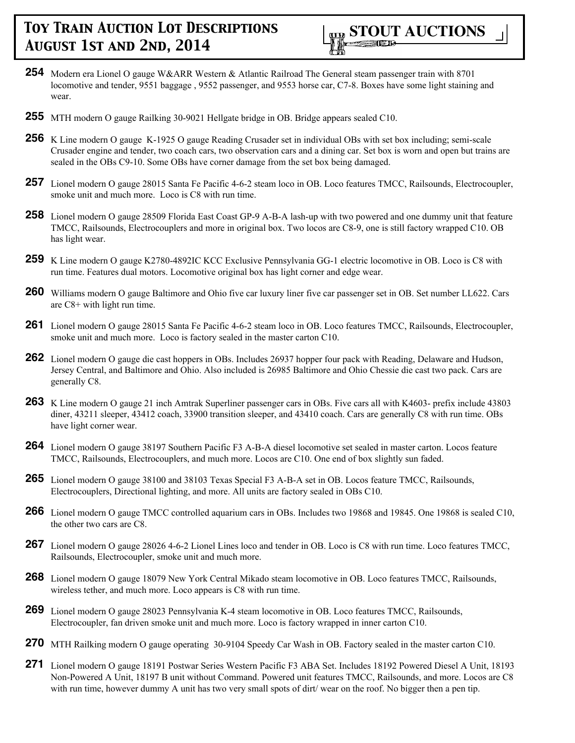

- **254** Modern era Lionel O gauge W&ARR Western & Atlantic Railroad The General steam passenger train with 8701 locomotive and tender, 9551 baggage , 9552 passenger, and 9553 horse car, C7-8. Boxes have some light staining and wear.
- **255** MTH modern O gauge Railking 30-9021 Hellgate bridge in OB. Bridge appears sealed C10.
- **256** K Line modern O gauge K-1925 O gauge Reading Crusader set in individual OBs with set box including; semi-scale Crusader engine and tender, two coach cars, two observation cars and a dining car. Set box is worn and open but trains are sealed in the OBs C9-10. Some OBs have corner damage from the set box being damaged.
- **257** Lionel modern O gauge 28015 Santa Fe Pacific 4-6-2 steam loco in OB. Loco features TMCC, Railsounds, Electrocoupler, smoke unit and much more. Loco is C8 with run time.
- **258** Lionel modern O gauge 28509 Florida East Coast GP-9 A-B-A lash-up with two powered and one dummy unit that feature TMCC, Railsounds, Electrocouplers and more in original box. Two locos are C8-9, one is still factory wrapped C10. OB has light wear.
- **259** K Line modern O gauge K2780-4892IC KCC Exclusive Pennsylvania GG-1 electric locomotive in OB. Loco is C8 with run time. Features dual motors. Locomotive original box has light corner and edge wear.
- **260** Williams modern O gauge Baltimore and Ohio five car luxury liner five car passenger set in OB. Set number LL622. Cars are C8+ with light run time.
- **261** Lionel modern O gauge 28015 Santa Fe Pacific 4-6-2 steam loco in OB. Loco features TMCC, Railsounds, Electrocoupler, smoke unit and much more. Loco is factory sealed in the master carton C10.
- **262** Lionel modern O gauge die cast hoppers in OBs. Includes 26937 hopper four pack with Reading, Delaware and Hudson, Jersey Central, and Baltimore and Ohio. Also included is 26985 Baltimore and Ohio Chessie die cast two pack. Cars are generally C8.
- **263** K Line modern O gauge 21 inch Amtrak Superliner passenger cars in OBs. Five cars all with K4603- prefix include 43803 diner, 43211 sleeper, 43412 coach, 33900 transition sleeper, and 43410 coach. Cars are generally C8 with run time. OBs have light corner wear.
- **264** Lionel modern O gauge 38197 Southern Pacific F3 A-B-A diesel locomotive set sealed in master carton. Locos feature TMCC, Railsounds, Electrocouplers, and much more. Locos are C10. One end of box slightly sun faded.
- **265** Lionel modern O gauge 38100 and 38103 Texas Special F3 A-B-A set in OB. Locos feature TMCC, Railsounds, Electrocouplers, Directional lighting, and more. All units are factory sealed in OBs C10.
- **266** Lionel modern O gauge TMCC controlled aquarium cars in OBs. Includes two 19868 and 19845. One 19868 is sealed C10, the other two cars are C8.
- **267** Lionel modern O gauge 28026 4-6-2 Lionel Lines loco and tender in OB. Loco is C8 with run time. Loco features TMCC, Railsounds, Electrocoupler, smoke unit and much more.
- **268** Lionel modern O gauge 18079 New York Central Mikado steam locomotive in OB. Loco features TMCC, Railsounds, wireless tether, and much more. Loco appears is C8 with run time.
- **269** Lionel modern O gauge 28023 Pennsylvania K-4 steam locomotive in OB. Loco features TMCC, Railsounds, Electrocoupler, fan driven smoke unit and much more. Loco is factory wrapped in inner carton C10.
- **270** MTH Railking modern O gauge operating 30-9104 Speedy Car Wash in OB. Factory sealed in the master carton C10.
- **271** Lionel modern O gauge 18191 Postwar Series Western Pacific F3 ABA Set. Includes 18192 Powered Diesel A Unit, 18193 Non-Powered A Unit, 18197 B unit without Command. Powered unit features TMCC, Railsounds, and more. Locos are C8 with run time, however dummy A unit has two very small spots of dirt/ wear on the roof. No bigger then a pen tip.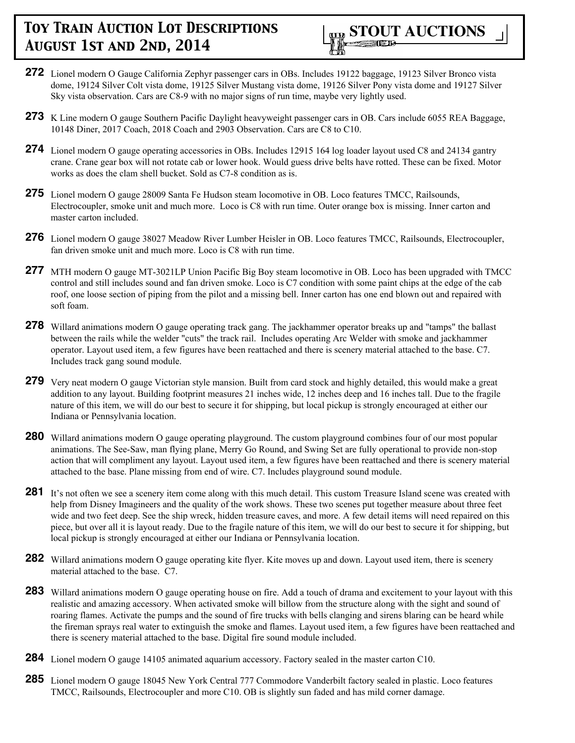

- **272** Lionel modern O Gauge California Zephyr passenger cars in OBs. Includes 19122 baggage, 19123 Silver Bronco vista dome, 19124 Silver Colt vista dome, 19125 Silver Mustang vista dome, 19126 Silver Pony vista dome and 19127 Silver Sky vista observation. Cars are C8-9 with no major signs of run time, maybe very lightly used.
- **273** K Line modern O gauge Southern Pacific Daylight heavyweight passenger cars in OB. Cars include 6055 REA Baggage, 10148 Diner, 2017 Coach, 2018 Coach and 2903 Observation. Cars are C8 to C10.
- **274** Lionel modern O gauge operating accessories in OBs. Includes 12915 164 log loader layout used C8 and 24134 gantry crane. Crane gear box will not rotate cab or lower hook. Would guess drive belts have rotted. These can be fixed. Motor works as does the clam shell bucket. Sold as C7-8 condition as is.
- **275** Lionel modern O gauge 28009 Santa Fe Hudson steam locomotive in OB. Loco features TMCC, Railsounds, Electrocoupler, smoke unit and much more. Loco is C8 with run time. Outer orange box is missing. Inner carton and master carton included.
- **276** Lionel modern O gauge 38027 Meadow River Lumber Heisler in OB. Loco features TMCC, Railsounds, Electrocoupler, fan driven smoke unit and much more. Loco is C8 with run time.
- **277** MTH modern O gauge MT-3021LP Union Pacific Big Boy steam locomotive in OB. Loco has been upgraded with TMCC control and still includes sound and fan driven smoke. Loco is C7 condition with some paint chips at the edge of the cab roof, one loose section of piping from the pilot and a missing bell. Inner carton has one end blown out and repaired with soft foam.
- **278** Willard animations modern O gauge operating track gang. The jackhammer operator breaks up and "tamps" the ballast between the rails while the welder "cuts" the track rail. Includes operating Arc Welder with smoke and jackhammer operator. Layout used item, a few figures have been reattached and there is scenery material attached to the base. C7. Includes track gang sound module.
- **279** Very neat modern O gauge Victorian style mansion. Built from card stock and highly detailed, this would make a great addition to any layout. Building footprint measures 21 inches wide, 12 inches deep and 16 inches tall. Due to the fragile nature of this item, we will do our best to secure it for shipping, but local pickup is strongly encouraged at either our Indiana or Pennsylvania location.
- **280** Willard animations modern O gauge operating playground. The custom playground combines four of our most popular animations. The See-Saw, man flying plane, Merry Go Round, and Swing Set are fully operational to provide non-stop action that will compliment any layout. Layout used item, a few figures have been reattached and there is scenery material attached to the base. Plane missing from end of wire. C7. Includes playground sound module.
- **281** It's not often we see a scenery item come along with this much detail. This custom Treasure Island scene was created with help from Disney Imagineers and the quality of the work shows. These two scenes put together measure about three feet wide and two feet deep. See the ship wreck, hidden treasure caves, and more. A few detail items will need repaired on this piece, but over all it is layout ready. Due to the fragile nature of this item, we will do our best to secure it for shipping, but local pickup is strongly encouraged at either our Indiana or Pennsylvania location.
- **282** Willard animations modern O gauge operating kite flyer. Kite moves up and down. Layout used item, there is scenery material attached to the base. C7.
- **283** Willard animations modern O gauge operating house on fire. Add a touch of drama and excitement to your layout with this realistic and amazing accessory. When activated smoke will billow from the structure along with the sight and sound of roaring flames. Activate the pumps and the sound of fire trucks with bells clanging and sirens blaring can be heard while the fireman sprays real water to extinguish the smoke and flames. Layout used item, a few figures have been reattached and there is scenery material attached to the base. Digital fire sound module included.
- **284** Lionel modern O gauge 14105 animated aquarium accessory. Factory sealed in the master carton C10.
- **285** Lionel modern O gauge 18045 New York Central 777 Commodore Vanderbilt factory sealed in plastic. Loco features TMCC, Railsounds, Electrocoupler and more C10. OB is slightly sun faded and has mild corner damage.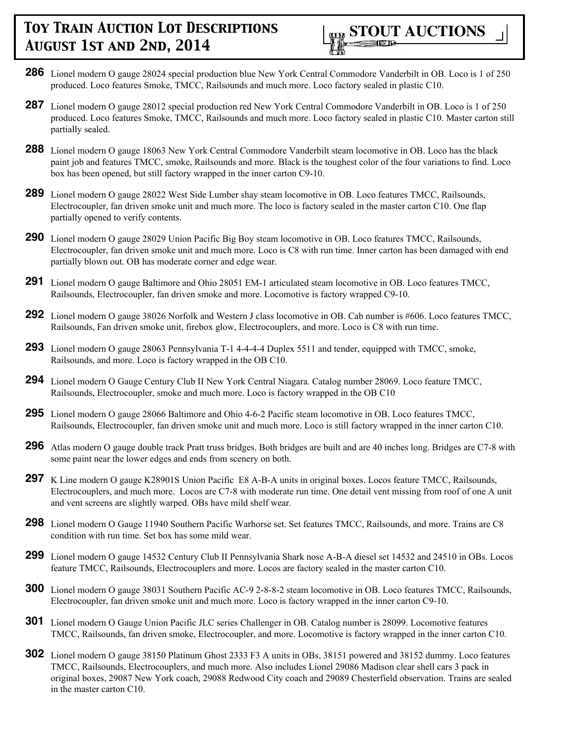

- **286** Lionel modern O gauge 28024 special production blue New York Central Commodore Vanderbilt in OB. Loco is 1 of 250 produced. Loco features Smoke, TMCC, Railsounds and much more. Loco factory sealed in plastic C10.
- **287** Lionel modern O gauge 28012 special production red New York Central Commodore Vanderbilt in OB. Loco is 1 of 250 produced. Loco features Smoke, TMCC, Railsounds and much more. Loco factory sealed in plastic C10. Master carton still partially sealed.
- **288** Lionel modern O gauge 18063 New York Central Commodore Vanderbilt steam locomotive in OB. Loco has the black paint job and features TMCC, smoke, Railsounds and more. Black is the toughest color of the four variations to find. Loco box has been opened, but still factory wrapped in the inner carton C9-10.
- **289** Lionel modern O gauge 28022 West Side Lumber shay steam locomotive in OB. Loco features TMCC, Railsounds, Electrocoupler, fan driven smoke unit and much more. The loco is factory sealed in the master carton C10. One flap partially opened to verify contents.
- **290** Lionel modern O gauge 28029 Union Pacific Big Boy steam locomotive in OB. Loco features TMCC, Railsounds, Electrocoupler, fan driven smoke unit and much more. Loco is C8 with run time. Inner carton has been damaged with end partially blown out. OB has moderate corner and edge wear.
- **291** Lionel modern O gauge Baltimore and Ohio 28051 EM-1 articulated steam locomotive in OB. Loco features TMCC, Railsounds, Electrocoupler, fan driven smoke and more. Locomotive is factory wrapped C9-10.
- **292** Lionel modern O gauge 38026 Norfolk and Western J class locomotive in OB. Cab number is #606. Loco features TMCC, Railsounds, Fan driven smoke unit, firebox glow, Electrocouplers, and more. Loco is C8 with run time.
- **293** Lionel modern O gauge 28063 Pennsylvania T-1 4-4-4-4 Duplex 5511 and tender, equipped with TMCC, smoke, Railsounds, and more. Loco is factory wrapped in the OB C10.
- **294** Lionel modern O Gauge Century Club II New York Central Niagara. Catalog number 28069. Loco feature TMCC, Railsounds, Electrocoupler, smoke and much more. Loco is factory wrapped in the OB C10
- **295** Lionel modern O gauge 28066 Baltimore and Ohio 4-6-2 Pacific steam locomotive in OB. Loco features TMCC, Railsounds, Electrocoupler, fan driven smoke unit and much more. Loco is still factory wrapped in the inner carton C10.
- **296** Atlas modern O gauge double track Pratt truss bridges. Both bridges are built and are 40 inches long. Bridges are C7-8 with some paint near the lower edges and ends from scenery on both.
- 297 K Line modern O gauge K28901S Union Pacific E8 A-B-A units in original boxes. Locos feature TMCC, Railsounds, Electrocouplers, and much more. Locos are C7-8 with moderate run time. One detail vent missing from roof of one A unit and vent screens are slightly warped. OBs have mild shelf wear.
- **298** Lionel modern O Gauge 11940 Southern Pacific Warhorse set. Set features TMCC, Railsounds, and more. Trains are C8 condition with run time. Set box has some mild wear.
- **299** Lionel modern O gauge 14532 Century Club II Pennsylvania Shark nose A-B-A diesel set 14532 and 24510 in OBs. Locos feature TMCC, Railsounds, Electrocouplers and more. Locos are factory sealed in the master carton C10.
- **300** Lionel modern O gauge 38031 Southern Pacific AC-9 2-8-8-2 steam locomotive in OB. Loco features TMCC, Railsounds, Electrocoupler, fan driven smoke unit and much more. Loco is factory wrapped in the inner carton C9-10.
- **301** Lionel modern O Gauge Union Pacific JLC series Challenger in OB. Catalog number is 28099. Locomotive features TMCC, Railsounds, fan driven smoke, Electrocoupler, and more. Locomotive is factory wrapped in the inner carton C10.
- **302** Lionel modern O gauge 38150 Platinum Ghost 2333 F3 A units in OBs, 38151 powered and 38152 dummy. Loco features TMCC, Railsounds, Electrocouplers, and much more. Also includes Lionel 29086 Madison clear shell cars 3 pack in original boxes, 29087 New York coach, 29088 Redwood City coach and 29089 Chesterfield observation. Trains are sealed in the master carton C10.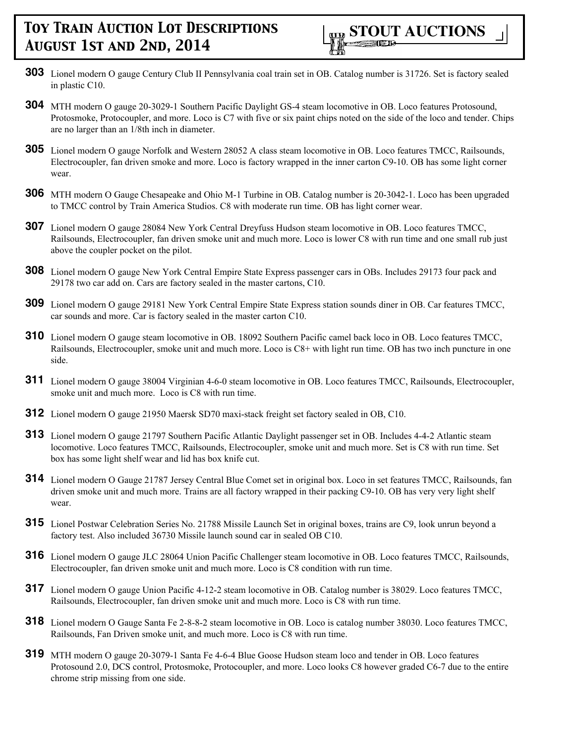- **303** Lionel modern O gauge Century Club II Pennsylvania coal train set in OB. Catalog number is 31726. Set is factory sealed in plastic C10.
- **304** MTH modern O gauge 20-3029-1 Southern Pacific Daylight GS-4 steam locomotive in OB. Loco features Protosound, Protosmoke, Protocoupler, and more. Loco is C7 with five or six paint chips noted on the side of the loco and tender. Chips are no larger than an 1/8th inch in diameter.
- **305** Lionel modern O gauge Norfolk and Western 28052 A class steam locomotive in OB. Loco features TMCC, Railsounds, Electrocoupler, fan driven smoke and more. Loco is factory wrapped in the inner carton C9-10. OB has some light corner wear.
- **306** MTH modern O Gauge Chesapeake and Ohio M-1 Turbine in OB. Catalog number is 20-3042-1. Loco has been upgraded to TMCC control by Train America Studios. C8 with moderate run time. OB has light corner wear.
- **307** Lionel modern O gauge 28084 New York Central Dreyfuss Hudson steam locomotive in OB. Loco features TMCC, Railsounds, Electrocoupler, fan driven smoke unit and much more. Loco is lower C8 with run time and one small rub just above the coupler pocket on the pilot.
- **308** Lionel modern O gauge New York Central Empire State Express passenger cars in OBs. Includes 29173 four pack and 29178 two car add on. Cars are factory sealed in the master cartons, C10.
- **309** Lionel modern O gauge 29181 New York Central Empire State Express station sounds diner in OB. Car features TMCC, car sounds and more. Car is factory sealed in the master carton C10.
- **310** Lionel modern O gauge steam locomotive in OB. 18092 Southern Pacific camel back loco in OB. Loco features TMCC, Railsounds, Electrocoupler, smoke unit and much more. Loco is C8+ with light run time. OB has two inch puncture in one side.
- **311** Lionel modern O gauge 38004 Virginian 4-6-0 steam locomotive in OB. Loco features TMCC, Railsounds, Electrocoupler, smoke unit and much more. Loco is C8 with run time.
- **312** Lionel modern O gauge 21950 Maersk SD70 maxi-stack freight set factory sealed in OB, C10.
- **313** Lionel modern O gauge 21797 Southern Pacific Atlantic Daylight passenger set in OB. Includes 4-4-2 Atlantic steam locomotive. Loco features TMCC, Railsounds, Electrocoupler, smoke unit and much more. Set is C8 with run time. Set box has some light shelf wear and lid has box knife cut.
- **314** Lionel modern O Gauge 21787 Jersey Central Blue Comet set in original box. Loco in set features TMCC, Railsounds, fan driven smoke unit and much more. Trains are all factory wrapped in their packing C9-10. OB has very very light shelf wear.
- **315** Lionel Postwar Celebration Series No. 21788 Missile Launch Set in original boxes, trains are C9, look unrun beyond a factory test. Also included 36730 Missile launch sound car in sealed OB C10.
- **316** Lionel modern O gauge JLC 28064 Union Pacific Challenger steam locomotive in OB. Loco features TMCC, Railsounds, Electrocoupler, fan driven smoke unit and much more. Loco is C8 condition with run time.
- **317** Lionel modern O gauge Union Pacific 4-12-2 steam locomotive in OB. Catalog number is 38029. Loco features TMCC, Railsounds, Electrocoupler, fan driven smoke unit and much more. Loco is C8 with run time.
- **318** Lionel modern O Gauge Santa Fe 2-8-8-2 steam locomotive in OB. Loco is catalog number 38030. Loco features TMCC, Railsounds, Fan Driven smoke unit, and much more. Loco is C8 with run time.
- **319** MTH modern O gauge 20-3079-1 Santa Fe 4-6-4 Blue Goose Hudson steam loco and tender in OB. Loco features Protosound 2.0, DCS control, Protosmoke, Protocoupler, and more. Loco looks C8 however graded C6-7 due to the entire chrome strip missing from one side.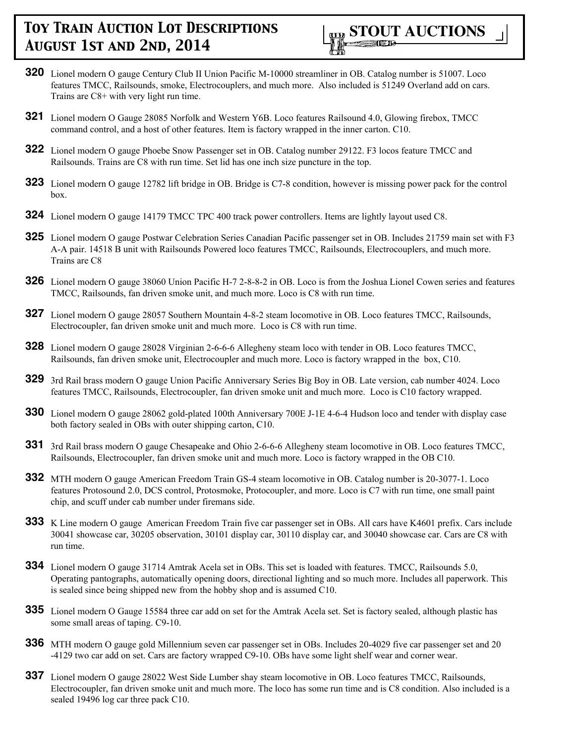

- **320** Lionel modern O gauge Century Club II Union Pacific M-10000 streamliner in OB. Catalog number is 51007. Loco features TMCC, Railsounds, smoke, Electrocouplers, and much more. Also included is 51249 Overland add on cars. Trains are C8+ with very light run time.
- **321** Lionel modern O Gauge 28085 Norfolk and Western Y6B. Loco features Railsound 4.0, Glowing firebox, TMCC command control, and a host of other features. Item is factory wrapped in the inner carton. C10.
- **322** Lionel modern O gauge Phoebe Snow Passenger set in OB. Catalog number 29122. F3 locos feature TMCC and Railsounds. Trains are C8 with run time. Set lid has one inch size puncture in the top.
- **323** Lionel modern O gauge 12782 lift bridge in OB. Bridge is C7-8 condition, however is missing power pack for the control box.
- **324** Lionel modern O gauge 14179 TMCC TPC 400 track power controllers. Items are lightly layout used C8.
- **325** Lionel modern O gauge Postwar Celebration Series Canadian Pacific passenger set in OB. Includes 21759 main set with F3 A-A pair. 14518 B unit with Railsounds Powered loco features TMCC, Railsounds, Electrocouplers, and much more. Trains are C8
- **326** Lionel modern O gauge 38060 Union Pacific H-7 2-8-8-2 in OB. Loco is from the Joshua Lionel Cowen series and features TMCC, Railsounds, fan driven smoke unit, and much more. Loco is C8 with run time.
- **327** Lionel modern O gauge 28057 Southern Mountain 4-8-2 steam locomotive in OB. Loco features TMCC, Railsounds, Electrocoupler, fan driven smoke unit and much more. Loco is C8 with run time.
- **328** Lionel modern O gauge 28028 Virginian 2-6-6-6 Allegheny steam loco with tender in OB. Loco features TMCC, Railsounds, fan driven smoke unit, Electrocoupler and much more. Loco is factory wrapped in the box, C10.
- **329** 3rd Rail brass modern O gauge Union Pacific Anniversary Series Big Boy in OB. Late version, cab number 4024. Loco features TMCC, Railsounds, Electrocoupler, fan driven smoke unit and much more. Loco is C10 factory wrapped.
- **330** Lionel modern O gauge 28062 gold-plated 100th Anniversary 700E J-1E 4-6-4 Hudson loco and tender with display case both factory sealed in OBs with outer shipping carton, C10.
- **331** 3rd Rail brass modern O gauge Chesapeake and Ohio 2-6-6-6 Allegheny steam locomotive in OB. Loco features TMCC, Railsounds, Electrocoupler, fan driven smoke unit and much more. Loco is factory wrapped in the OB C10.
- **332** MTH modern O gauge American Freedom Train GS-4 steam locomotive in OB. Catalog number is 20-3077-1. Loco features Protosound 2.0, DCS control, Protosmoke, Protocoupler, and more. Loco is C7 with run time, one small paint chip, and scuff under cab number under firemans side.
- **333** K Line modern O gauge American Freedom Train five car passenger set in OBs. All cars have K4601 prefix. Cars include 30041 showcase car, 30205 observation, 30101 display car, 30110 display car, and 30040 showcase car. Cars are C8 with run time.
- **334** Lionel modern O gauge 31714 Amtrak Acela set in OBs. This set is loaded with features. TMCC, Railsounds 5.0, Operating pantographs, automatically opening doors, directional lighting and so much more. Includes all paperwork. This is sealed since being shipped new from the hobby shop and is assumed C10.
- **335** Lionel modern O Gauge 15584 three car add on set for the Amtrak Acela set. Set is factory sealed, although plastic has some small areas of taping. C9-10.
- **336** MTH modern O gauge gold Millennium seven car passenger set in OBs. Includes 20-4029 five car passenger set and 20 -4129 two car add on set. Cars are factory wrapped C9-10. OBs have some light shelf wear and corner wear.
- **337** Lionel modern O gauge 28022 West Side Lumber shay steam locomotive in OB. Loco features TMCC, Railsounds, Electrocoupler, fan driven smoke unit and much more. The loco has some run time and is C8 condition. Also included is a sealed 19496 log car three pack C10.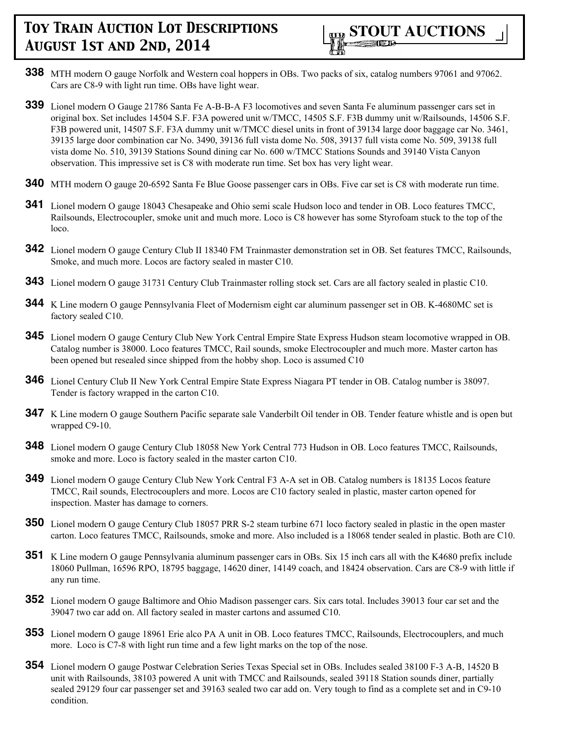- **338** MTH modern O gauge Norfolk and Western coal hoppers in OBs. Two packs of six, catalog numbers 97061 and 97062. Cars are C8-9 with light run time. OBs have light wear.
- **339** Lionel modern O Gauge 21786 Santa Fe A-B-B-A F3 locomotives and seven Santa Fe aluminum passenger cars set in original box. Set includes 14504 S.F. F3A powered unit w/TMCC, 14505 S.F. F3B dummy unit w/Railsounds, 14506 S.F. F3B powered unit, 14507 S.F. F3A dummy unit w/TMCC diesel units in front of 39134 large door baggage car No. 3461, 39135 large door combination car No. 3490, 39136 full vista dome No. 508, 39137 full vista come No. 509, 39138 full vista dome No. 510, 39139 Stations Sound dining car No. 600 w/TMCC Stations Sounds and 39140 Vista Canyon observation. This impressive set is C8 with moderate run time. Set box has very light wear.
- **340** MTH modern O gauge 20-6592 Santa Fe Blue Goose passenger cars in OBs. Five car set is C8 with moderate run time.
- **341** Lionel modern O gauge 18043 Chesapeake and Ohio semi scale Hudson loco and tender in OB. Loco features TMCC, Railsounds, Electrocoupler, smoke unit and much more. Loco is C8 however has some Styrofoam stuck to the top of the loco.
- **342** Lionel modern O gauge Century Club II 18340 FM Trainmaster demonstration set in OB. Set features TMCC, Railsounds, Smoke, and much more. Locos are factory sealed in master C10.
- **343** Lionel modern O gauge 31731 Century Club Trainmaster rolling stock set. Cars are all factory sealed in plastic C10.
- **344** K Line modern O gauge Pennsylvania Fleet of Modernism eight car aluminum passenger set in OB. K-4680MC set is factory sealed C10.
- **345** Lionel modern O gauge Century Club New York Central Empire State Express Hudson steam locomotive wrapped in OB. Catalog number is 38000. Loco features TMCC, Rail sounds, smoke Electrocoupler and much more. Master carton has been opened but resealed since shipped from the hobby shop. Loco is assumed C10
- **346** Lionel Century Club II New York Central Empire State Express Niagara PT tender in OB. Catalog number is 38097. Tender is factory wrapped in the carton C10.
- **347** K Line modern O gauge Southern Pacific separate sale Vanderbilt Oil tender in OB. Tender feature whistle and is open but wrapped C9-10.
- **348** Lionel modern O gauge Century Club 18058 New York Central 773 Hudson in OB. Loco features TMCC, Railsounds, smoke and more. Loco is factory sealed in the master carton C10.
- **349** Lionel modern O gauge Century Club New York Central F3 A-A set in OB. Catalog numbers is 18135 Locos feature TMCC, Rail sounds, Electrocouplers and more. Locos are C10 factory sealed in plastic, master carton opened for inspection. Master has damage to corners.
- **350** Lionel modern O gauge Century Club 18057 PRR S-2 steam turbine 671 loco factory sealed in plastic in the open master carton. Loco features TMCC, Railsounds, smoke and more. Also included is a 18068 tender sealed in plastic. Both are C10.
- **351** K Line modern O gauge Pennsylvania aluminum passenger cars in OBs. Six 15 inch cars all with the K4680 prefix include 18060 Pullman, 16596 RPO, 18795 baggage, 14620 diner, 14149 coach, and 18424 observation. Cars are C8-9 with little if any run time.
- **352** Lionel modern O gauge Baltimore and Ohio Madison passenger cars. Six cars total. Includes 39013 four car set and the 39047 two car add on. All factory sealed in master cartons and assumed C10.
- **353** Lionel modern O gauge 18961 Erie alco PA A unit in OB. Loco features TMCC, Railsounds, Electrocouplers, and much more. Loco is C7-8 with light run time and a few light marks on the top of the nose.
- **354** Lionel modern O gauge Postwar Celebration Series Texas Special set in OBs. Includes sealed 38100 F-3 A-B, 14520 B unit with Railsounds, 38103 powered A unit with TMCC and Railsounds, sealed 39118 Station sounds diner, partially sealed 29129 four car passenger set and 39163 sealed two car add on. Very tough to find as a complete set and in C9-10 condition.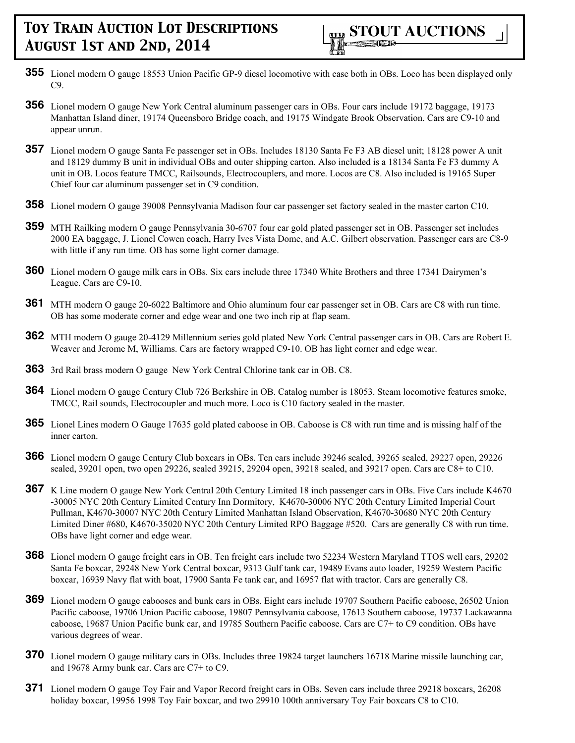- **355** Lionel modern O gauge 18553 Union Pacific GP-9 diesel locomotive with case both in OBs. Loco has been displayed only C9.
- **356** Lionel modern O gauge New York Central aluminum passenger cars in OBs. Four cars include 19172 baggage, 19173 Manhattan Island diner, 19174 Queensboro Bridge coach, and 19175 Windgate Brook Observation. Cars are C9-10 and appear unrun.
- **357** Lionel modern O gauge Santa Fe passenger set in OBs. Includes 18130 Santa Fe F3 AB diesel unit; 18128 power A unit and 18129 dummy B unit in individual OBs and outer shipping carton. Also included is a 18134 Santa Fe F3 dummy A unit in OB. Locos feature TMCC, Railsounds, Electrocouplers, and more. Locos are C8. Also included is 19165 Super Chief four car aluminum passenger set in C9 condition.
- **358** Lionel modern O gauge 39008 Pennsylvania Madison four car passenger set factory sealed in the master carton C10.
- **359** MTH Railking modern O gauge Pennsylvania 30-6707 four car gold plated passenger set in OB. Passenger set includes 2000 EA baggage, J. Lionel Cowen coach, Harry Ives Vista Dome, and A.C. Gilbert observation. Passenger cars are C8-9 with little if any run time. OB has some light corner damage.
- **360** Lionel modern O gauge milk cars in OBs. Six cars include three 17340 White Brothers and three 17341 Dairymen's League. Cars are C9-10.
- **361** MTH modern O gauge 20-6022 Baltimore and Ohio aluminum four car passenger set in OB. Cars are C8 with run time. OB has some moderate corner and edge wear and one two inch rip at flap seam.
- **362** MTH modern O gauge 20-4129 Millennium series gold plated New York Central passenger cars in OB. Cars are Robert E. Weaver and Jerome M, Williams. Cars are factory wrapped C9-10. OB has light corner and edge wear.
- **363** 3rd Rail brass modern O gauge New York Central Chlorine tank car in OB. C8.
- **364** Lionel modern O gauge Century Club 726 Berkshire in OB. Catalog number is 18053. Steam locomotive features smoke, TMCC, Rail sounds, Electrocoupler and much more. Loco is C10 factory sealed in the master.
- **365** Lionel Lines modern O Gauge 17635 gold plated caboose in OB. Caboose is C8 with run time and is missing half of the inner carton.
- **366** Lionel modern O gauge Century Club boxcars in OBs. Ten cars include 39246 sealed, 39265 sealed, 29227 open, 29226 sealed, 39201 open, two open 29226, sealed 39215, 29204 open, 39218 sealed, and 39217 open. Cars are C8+ to C10.
- **367** K Line modern O gauge New York Central 20th Century Limited 18 inch passenger cars in OBs. Five Cars include K4670 -30005 NYC 20th Century Limited Century Inn Dormitory, K4670-30006 NYC 20th Century Limited Imperial Court Pullman, K4670-30007 NYC 20th Century Limited Manhattan Island Observation, K4670-30680 NYC 20th Century Limited Diner #680, K4670-35020 NYC 20th Century Limited RPO Baggage #520. Cars are generally C8 with run time. OBs have light corner and edge wear.
- **368** Lionel modern O gauge freight cars in OB. Ten freight cars include two 52234 Western Maryland TTOS well cars, 29202 Santa Fe boxcar, 29248 New York Central boxcar, 9313 Gulf tank car, 19489 Evans auto loader, 19259 Western Pacific boxcar, 16939 Navy flat with boat, 17900 Santa Fe tank car, and 16957 flat with tractor. Cars are generally C8.
- **369** Lionel modern O gauge cabooses and bunk cars in OBs. Eight cars include 19707 Southern Pacific caboose, 26502 Union Pacific caboose, 19706 Union Pacific caboose, 19807 Pennsylvania caboose, 17613 Southern caboose, 19737 Lackawanna caboose, 19687 Union Pacific bunk car, and 19785 Southern Pacific caboose. Cars are C7+ to C9 condition. OBs have various degrees of wear.
- **370** Lionel modern O gauge military cars in OBs. Includes three 19824 target launchers 16718 Marine missile launching car, and 19678 Army bunk car. Cars are C7+ to C9.
- **371** Lionel modern O gauge Toy Fair and Vapor Record freight cars in OBs. Seven cars include three 29218 boxcars, 26208 holiday boxcar, 19956 1998 Toy Fair boxcar, and two 29910 100th anniversary Toy Fair boxcars C8 to C10.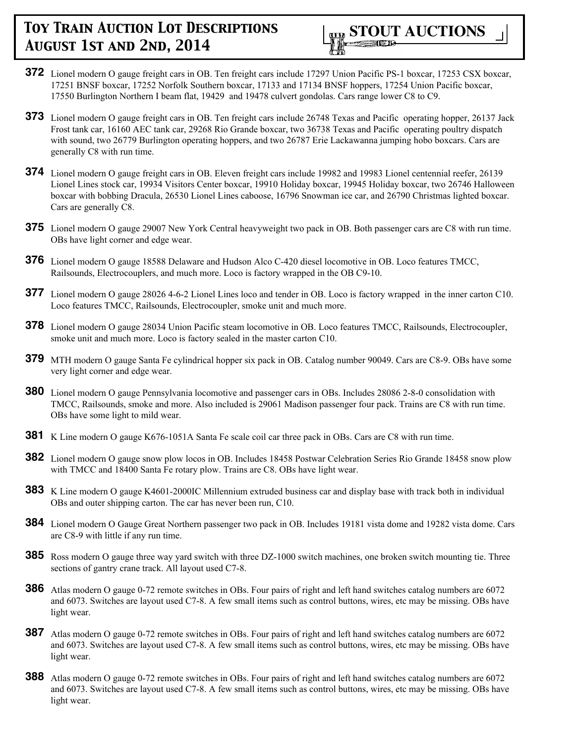

- **372** Lionel modern O gauge freight cars in OB. Ten freight cars include 17297 Union Pacific PS-1 boxcar, 17253 CSX boxcar, 17251 BNSF boxcar, 17252 Norfolk Southern boxcar, 17133 and 17134 BNSF hoppers, 17254 Union Pacific boxcar, 17550 Burlington Northern I beam flat, 19429 and 19478 culvert gondolas. Cars range lower C8 to C9.
- **373** Lionel modern O gauge freight cars in OB. Ten freight cars include 26748 Texas and Pacific operating hopper, 26137 Jack Frost tank car, 16160 AEC tank car, 29268 Rio Grande boxcar, two 36738 Texas and Pacific operating poultry dispatch with sound, two 26779 Burlington operating hoppers, and two 26787 Erie Lackawanna jumping hobo boxcars. Cars are generally C8 with run time.
- **374** Lionel modern O gauge freight cars in OB. Eleven freight cars include 19982 and 19983 Lionel centennial reefer, 26139 Lionel Lines stock car, 19934 Visitors Center boxcar, 19910 Holiday boxcar, 19945 Holiday boxcar, two 26746 Halloween boxcar with bobbing Dracula, 26530 Lionel Lines caboose, 16796 Snowman ice car, and 26790 Christmas lighted boxcar. Cars are generally C8.
- **375** Lionel modern O gauge 29007 New York Central heavyweight two pack in OB. Both passenger cars are C8 with run time. OBs have light corner and edge wear.
- **376** Lionel modern O gauge 18588 Delaware and Hudson Alco C-420 diesel locomotive in OB. Loco features TMCC, Railsounds, Electrocouplers, and much more. Loco is factory wrapped in the OB C9-10.
- **377** Lionel modern O gauge 28026 4-6-2 Lionel Lines loco and tender in OB. Loco is factory wrapped in the inner carton C10. Loco features TMCC, Railsounds, Electrocoupler, smoke unit and much more.
- **378** Lionel modern O gauge 28034 Union Pacific steam locomotive in OB. Loco features TMCC, Railsounds, Electrocoupler, smoke unit and much more. Loco is factory sealed in the master carton C10.
- **379** MTH modern O gauge Santa Fe cylindrical hopper six pack in OB. Catalog number 90049. Cars are C8-9. OBs have some very light corner and edge wear.
- **380** Lionel modern O gauge Pennsylvania locomotive and passenger cars in OBs. Includes 28086 2-8-0 consolidation with TMCC, Railsounds, smoke and more. Also included is 29061 Madison passenger four pack. Trains are C8 with run time. OBs have some light to mild wear.
- **381** K Line modern O gauge K676-1051A Santa Fe scale coil car three pack in OBs. Cars are C8 with run time.
- **382** Lionel modern O gauge snow plow locos in OB. Includes 18458 Postwar Celebration Series Rio Grande 18458 snow plow with TMCC and 18400 Santa Fe rotary plow. Trains are C8. OBs have light wear.
- **383** K Line modern O gauge K4601-2000IC Millennium extruded business car and display base with track both in individual OBs and outer shipping carton. The car has never been run, C10.
- **384** Lionel modern O Gauge Great Northern passenger two pack in OB. Includes 19181 vista dome and 19282 vista dome. Cars are C8-9 with little if any run time.
- **385** Ross modern O gauge three way yard switch with three DZ-1000 switch machines, one broken switch mounting tie. Three sections of gantry crane track. All layout used C7-8.
- **386** Atlas modern O gauge 0-72 remote switches in OBs. Four pairs of right and left hand switches catalog numbers are 6072 and 6073. Switches are layout used C7-8. A few small items such as control buttons, wires, etc may be missing. OBs have light wear.
- **387** Atlas modern O gauge 0-72 remote switches in OBs. Four pairs of right and left hand switches catalog numbers are 6072 and 6073. Switches are layout used C7-8. A few small items such as control buttons, wires, etc may be missing. OBs have light wear.
- **388** Atlas modern O gauge 0-72 remote switches in OBs. Four pairs of right and left hand switches catalog numbers are 6072 and 6073. Switches are layout used C7-8. A few small items such as control buttons, wires, etc may be missing. OBs have light wear.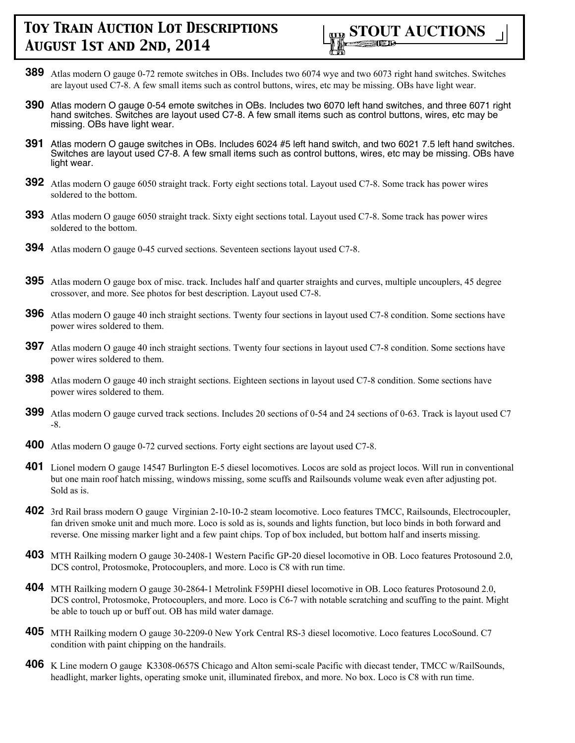

- **389** Atlas modern O gauge 0-72 remote switches in OBs. Includes two 6074 wye and two 6073 right hand switches. Switches are layout used C7-8. A few small items such as control buttons, wires, etc may be missing. OBs have light wear.
- **390** Atlas modern O gauge 0-54 emote switches in OBs. Includes two 6070 left hand switches, and three 6071 right hand switches. Switches are layout used C7-8. A few small items such as control buttons, wires, etc may be missing. OBs have light wear.
- **391** Atlas modern O gauge switches in OBs. Includes 6024 #5 left hand switch, and two 6021 7.5 left hand switches. Switches are layout used C7-8. A few small items such as control buttons, wires, etc may be missing. OBs have light wear.
- **392** Atlas modern O gauge 6050 straight track. Forty eight sections total. Layout used C7-8. Some track has power wires soldered to the bottom.
- **393** Atlas modern O gauge 6050 straight track. Sixty eight sections total. Layout used C7-8. Some track has power wires soldered to the bottom.
- **394** Atlas modern O gauge 0-45 curved sections. Seventeen sections layout used C7-8.
- **395** Atlas modern O gauge box of misc. track. Includes half and quarter straights and curves, multiple uncouplers, 45 degree crossover, and more. See photos for best description. Layout used C7-8.
- **396** Atlas modern O gauge 40 inch straight sections. Twenty four sections in layout used C7-8 condition. Some sections have power wires soldered to them.
- **397** Atlas modern O gauge 40 inch straight sections. Twenty four sections in layout used C7-8 condition. Some sections have power wires soldered to them.
- **398** Atlas modern O gauge 40 inch straight sections. Eighteen sections in layout used C7-8 condition. Some sections have power wires soldered to them.
- **399** Atlas modern O gauge curved track sections. Includes 20 sections of 0-54 and 24 sections of 0-63. Track is layout used C7 -8.
- **400** Atlas modern O gauge 0-72 curved sections. Forty eight sections are layout used C7-8.
- **401** Lionel modern O gauge 14547 Burlington E-5 diesel locomotives. Locos are sold as project locos. Will run in conventional but one main roof hatch missing, windows missing, some scuffs and Railsounds volume weak even after adjusting pot. Sold as is.
- **402** 3rd Rail brass modern O gauge Virginian 2-10-10-2 steam locomotive. Loco features TMCC, Railsounds, Electrocoupler, fan driven smoke unit and much more. Loco is sold as is, sounds and lights function, but loco binds in both forward and reverse. One missing marker light and a few paint chips. Top of box included, but bottom half and inserts missing.
- **403** MTH Railking modern O gauge 30-2408-1 Western Pacific GP-20 diesel locomotive in OB. Loco features Protosound 2.0, DCS control, Protosmoke, Protocouplers, and more. Loco is C8 with run time.
- **404** MTH Railking modern O gauge 30-2864-1 Metrolink F59PHI diesel locomotive in OB. Loco features Protosound 2.0, DCS control, Protosmoke, Protocouplers, and more. Loco is C6-7 with notable scratching and scuffing to the paint. Might be able to touch up or buff out. OB has mild water damage.
- **405** MTH Railking modern O gauge 30-2209-0 New York Central RS-3 diesel locomotive. Loco features LocoSound. C7 condition with paint chipping on the handrails.
- **406** K Line modern O gauge K3308-0657S Chicago and Alton semi-scale Pacific with diecast tender, TMCC w/RailSounds, headlight, marker lights, operating smoke unit, illuminated firebox, and more. No box. Loco is C8 with run time.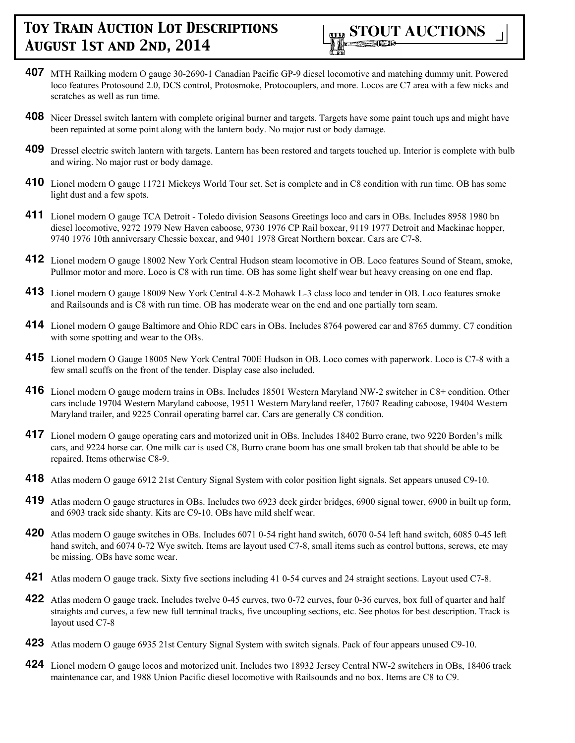

- **407** MTH Railking modern O gauge 30-2690-1 Canadian Pacific GP-9 diesel locomotive and matching dummy unit. Powered loco features Protosound 2.0, DCS control, Protosmoke, Protocouplers, and more. Locos are C7 area with a few nicks and scratches as well as run time.
- **408** Nicer Dressel switch lantern with complete original burner and targets. Targets have some paint touch ups and might have been repainted at some point along with the lantern body. No major rust or body damage.
- **409** Dressel electric switch lantern with targets. Lantern has been restored and targets touched up. Interior is complete with bulb and wiring. No major rust or body damage.
- **410** Lionel modern O gauge 11721 Mickeys World Tour set. Set is complete and in C8 condition with run time. OB has some light dust and a few spots.
- **411** Lionel modern O gauge TCA Detroit Toledo division Seasons Greetings loco and cars in OBs. Includes 8958 1980 bn diesel locomotive, 9272 1979 New Haven caboose, 9730 1976 CP Rail boxcar, 9119 1977 Detroit and Mackinac hopper, 9740 1976 10th anniversary Chessie boxcar, and 9401 1978 Great Northern boxcar. Cars are C7-8.
- **412** Lionel modern O gauge 18002 New York Central Hudson steam locomotive in OB. Loco features Sound of Steam, smoke, Pullmor motor and more. Loco is C8 with run time. OB has some light shelf wear but heavy creasing on one end flap.
- **413** Lionel modern O gauge 18009 New York Central 4-8-2 Mohawk L-3 class loco and tender in OB. Loco features smoke and Railsounds and is C8 with run time. OB has moderate wear on the end and one partially torn seam.
- **414** Lionel modern O gauge Baltimore and Ohio RDC cars in OBs. Includes 8764 powered car and 8765 dummy. C7 condition with some spotting and wear to the OBs.
- **415** Lionel modern O Gauge 18005 New York Central 700E Hudson in OB. Loco comes with paperwork. Loco is C7-8 with a few small scuffs on the front of the tender. Display case also included.
- **416** Lionel modern O gauge modern trains in OBs. Includes 18501 Western Maryland NW-2 switcher in C8+ condition. Other cars include 19704 Western Maryland caboose, 19511 Western Maryland reefer, 17607 Reading caboose, 19404 Western Maryland trailer, and 9225 Conrail operating barrel car. Cars are generally C8 condition.
- **417** Lionel modern O gauge operating cars and motorized unit in OBs. Includes 18402 Burro crane, two 9220 Borden's milk cars, and 9224 horse car. One milk car is used C8, Burro crane boom has one small broken tab that should be able to be repaired. Items otherwise C8-9.
- **418** Atlas modern O gauge 6912 21st Century Signal System with color position light signals. Set appears unused C9-10.
- **419** Atlas modern O gauge structures in OBs. Includes two 6923 deck girder bridges, 6900 signal tower, 6900 in built up form, and 6903 track side shanty. Kits are C9-10. OBs have mild shelf wear.
- **420** Atlas modern O gauge switches in OBs. Includes 6071 0-54 right hand switch, 6070 0-54 left hand switch, 6085 0-45 left hand switch, and 6074 0-72 Wye switch. Items are layout used C7-8, small items such as control buttons, screws, etc may be missing. OBs have some wear.
- **421** Atlas modern O gauge track. Sixty five sections including 41 0-54 curves and 24 straight sections. Layout used C7-8.
- **422** Atlas modern O gauge track. Includes twelve 0-45 curves, two 0-72 curves, four 0-36 curves, box full of quarter and half straights and curves, a few new full terminal tracks, five uncoupling sections, etc. See photos for best description. Track is layout used C7-8
- **423** Atlas modern O gauge 6935 21st Century Signal System with switch signals. Pack of four appears unused C9-10.
- **424** Lionel modern O gauge locos and motorized unit. Includes two 18932 Jersey Central NW-2 switchers in OBs, 18406 track maintenance car, and 1988 Union Pacific diesel locomotive with Railsounds and no box. Items are C8 to C9.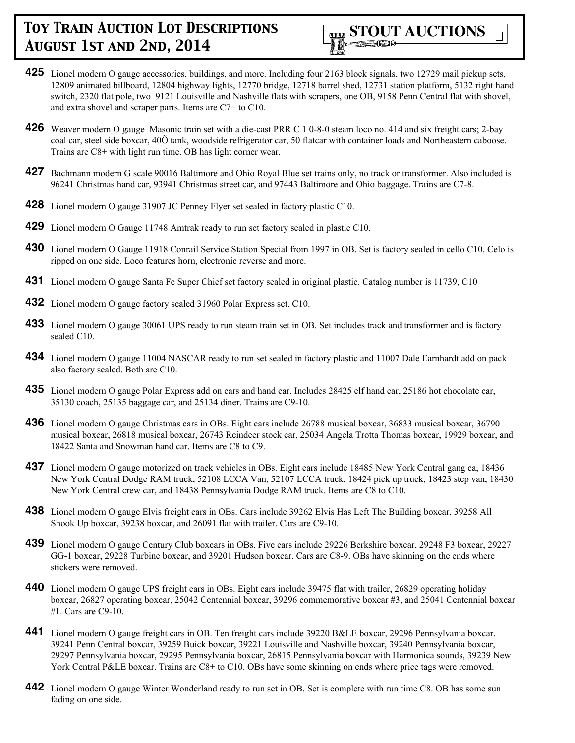

- **425** Lionel modern O gauge accessories, buildings, and more. Including four 2163 block signals, two 12729 mail pickup sets, 12809 animated billboard, 12804 highway lights, 12770 bridge, 12718 barrel shed, 12731 station platform, 5132 right hand switch, 2320 flat pole, two 9121 Louisville and Nashville flats with scrapers, one OB, 9158 Penn Central flat with shovel, and extra shovel and scraper parts. Items are C7+ to C10.
- **426** Weaver modern O gauge Masonic train set with a die-cast PRR C 1 0-8-0 steam loco no. 414 and six freight cars; 2-bay coal car, steel side boxcar, 40Õ tank, woodside refrigerator car, 50 flatcar with container loads and Northeastern caboose. Trains are C8+ with light run time. OB has light corner wear.
- **427** Bachmann modern G scale 90016 Baltimore and Ohio Royal Blue set trains only, no track or transformer. Also included is 96241 Christmas hand car, 93941 Christmas street car, and 97443 Baltimore and Ohio baggage. Trains are C7-8.
- **428** Lionel modern O gauge 31907 JC Penney Flyer set sealed in factory plastic C10.
- **429** Lionel modern O Gauge 11748 Amtrak ready to run set factory sealed in plastic C10.
- **430** Lionel modern O Gauge 11918 Conrail Service Station Special from 1997 in OB. Set is factory sealed in cello C10. Celo is ripped on one side. Loco features horn, electronic reverse and more.
- **431** Lionel modern O gauge Santa Fe Super Chief set factory sealed in original plastic. Catalog number is 11739, C10
- **432** Lionel modern O gauge factory sealed 31960 Polar Express set. C10.
- **433** Lionel modern O gauge 30061 UPS ready to run steam train set in OB. Set includes track and transformer and is factory sealed C10.
- **434** Lionel modern O gauge 11004 NASCAR ready to run set sealed in factory plastic and 11007 Dale Earnhardt add on pack also factory sealed. Both are C10.
- **435** Lionel modern O gauge Polar Express add on cars and hand car. Includes 28425 elf hand car, 25186 hot chocolate car, 35130 coach, 25135 baggage car, and 25134 diner. Trains are C9-10.
- **436** Lionel modern O gauge Christmas cars in OBs. Eight cars include 26788 musical boxcar, 36833 musical boxcar, 36790 musical boxcar, 26818 musical boxcar, 26743 Reindeer stock car, 25034 Angela Trotta Thomas boxcar, 19929 boxcar, and 18422 Santa and Snowman hand car. Items are C8 to C9.
- **437** Lionel modern O gauge motorized on track vehicles in OBs. Eight cars include 18485 New York Central gang ca, 18436 New York Central Dodge RAM truck, 52108 LCCA Van, 52107 LCCA truck, 18424 pick up truck, 18423 step van, 18430 New York Central crew car, and 18438 Pennsylvania Dodge RAM truck. Items are C8 to C10.
- **438** Lionel modern O gauge Elvis freight cars in OBs. Cars include 39262 Elvis Has Left The Building boxcar, 39258 All Shook Up boxcar, 39238 boxcar, and 26091 flat with trailer. Cars are C9-10.
- **439** Lionel modern O gauge Century Club boxcars in OBs. Five cars include 29226 Berkshire boxcar, 29248 F3 boxcar, 29227 GG-1 boxcar, 29228 Turbine boxcar, and 39201 Hudson boxcar. Cars are C8-9. OBs have skinning on the ends where stickers were removed.
- **440** Lionel modern O gauge UPS freight cars in OBs. Eight cars include 39475 flat with trailer, 26829 operating holiday boxcar, 26827 operating boxcar, 25042 Centennial boxcar, 39296 commemorative boxcar #3, and 25041 Centennial boxcar #1. Cars are C9-10.
- **441** Lionel modern O gauge freight cars in OB. Ten freight cars include 39220 B&LE boxcar, 29296 Pennsylvania boxcar, 39241 Penn Central boxcar, 39259 Buick boxcar, 39221 Louisville and Nashville boxcar, 39240 Pennsylvania boxcar, 29297 Pennsylvania boxcar, 29295 Pennsylvania boxcar, 26815 Pennsylvania boxcar with Harmonica sounds, 39239 New York Central P&LE boxcar. Trains are C8+ to C10. OBs have some skinning on ends where price tags were removed.
- **442** Lionel modern O gauge Winter Wonderland ready to run set in OB. Set is complete with run time C8. OB has some sun fading on one side.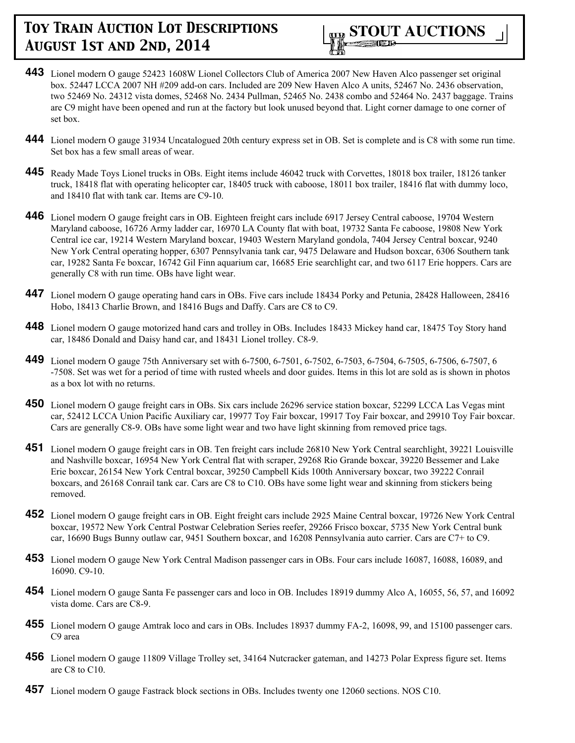

- **443** Lionel modern O gauge 52423 1608W Lionel Collectors Club of America 2007 New Haven Alco passenger set original box. 52447 LCCA 2007 NH #209 add-on cars. Included are 209 New Haven Alco A units, 52467 No. 2436 observation, two 52469 No. 24312 vista domes, 52468 No. 2434 Pullman, 52465 No. 2438 combo and 52464 No. 2437 baggage. Trains are C9 might have been opened and run at the factory but look unused beyond that. Light corner damage to one corner of set box.
- **444** Lionel modern O gauge 31934 Uncatalogued 20th century express set in OB. Set is complete and is C8 with some run time. Set box has a few small areas of wear.
- **445** Ready Made Toys Lionel trucks in OBs. Eight items include 46042 truck with Corvettes, 18018 box trailer, 18126 tanker truck, 18418 flat with operating helicopter car, 18405 truck with caboose, 18011 box trailer, 18416 flat with dummy loco, and 18410 flat with tank car. Items are C9-10.
- **446** Lionel modern O gauge freight cars in OB. Eighteen freight cars include 6917 Jersey Central caboose, 19704 Western Maryland caboose, 16726 Army ladder car, 16970 LA County flat with boat, 19732 Santa Fe caboose, 19808 New York Central ice car, 19214 Western Maryland boxcar, 19403 Western Maryland gondola, 7404 Jersey Central boxcar, 9240 New York Central operating hopper, 6307 Pennsylvania tank car, 9475 Delaware and Hudson boxcar, 6306 Southern tank car, 19282 Santa Fe boxcar, 16742 Gil Finn aquarium car, 16685 Erie searchlight car, and two 6117 Erie hoppers. Cars are generally C8 with run time. OBs have light wear.
- **447** Lionel modern O gauge operating hand cars in OBs. Five cars include 18434 Porky and Petunia, 28428 Halloween, 28416 Hobo, 18413 Charlie Brown, and 18416 Bugs and Daffy. Cars are C8 to C9.
- **448** Lionel modern O gauge motorized hand cars and trolley in OBs. Includes 18433 Mickey hand car, 18475 Toy Story hand car, 18486 Donald and Daisy hand car, and 18431 Lionel trolley. C8-9.
- **449** Lionel modern O gauge 75th Anniversary set with 6-7500, 6-7501, 6-7502, 6-7503, 6-7504, 6-7505, 6-7506, 6-7507, 6 -7508. Set was wet for a period of time with rusted wheels and door guides. Items in this lot are sold as is shown in photos as a box lot with no returns.
- **450** Lionel modern O gauge freight cars in OBs. Six cars include 26296 service station boxcar, 52299 LCCA Las Vegas mint car, 52412 LCCA Union Pacific Auxiliary car, 19977 Toy Fair boxcar, 19917 Toy Fair boxcar, and 29910 Toy Fair boxcar. Cars are generally C8-9. OBs have some light wear and two have light skinning from removed price tags.
- **451** Lionel modern O gauge freight cars in OB. Ten freight cars include 26810 New York Central searchlight, 39221 Louisville and Nashville boxcar, 16954 New York Central flat with scraper, 29268 Rio Grande boxcar, 39220 Bessemer and Lake Erie boxcar, 26154 New York Central boxcar, 39250 Campbell Kids 100th Anniversary boxcar, two 39222 Conrail boxcars, and 26168 Conrail tank car. Cars are C8 to C10. OBs have some light wear and skinning from stickers being removed.
- **452** Lionel modern O gauge freight cars in OB. Eight freight cars include 2925 Maine Central boxcar, 19726 New York Central boxcar, 19572 New York Central Postwar Celebration Series reefer, 29266 Frisco boxcar, 5735 New York Central bunk car, 16690 Bugs Bunny outlaw car, 9451 Southern boxcar, and 16208 Pennsylvania auto carrier. Cars are C7+ to C9.
- **453** Lionel modern O gauge New York Central Madison passenger cars in OBs. Four cars include 16087, 16088, 16089, and 16090. C9-10.
- **454** Lionel modern O gauge Santa Fe passenger cars and loco in OB. Includes 18919 dummy Alco A, 16055, 56, 57, and 16092 vista dome. Cars are C8-9.
- **455** Lionel modern O gauge Amtrak loco and cars in OBs. Includes 18937 dummy FA-2, 16098, 99, and 15100 passenger cars. C9 area
- **456** Lionel modern O gauge 11809 Village Trolley set, 34164 Nutcracker gateman, and 14273 Polar Express figure set. Items are C8 to C10.
- **457** Lionel modern O gauge Fastrack block sections in OBs. Includes twenty one 12060 sections. NOS C10.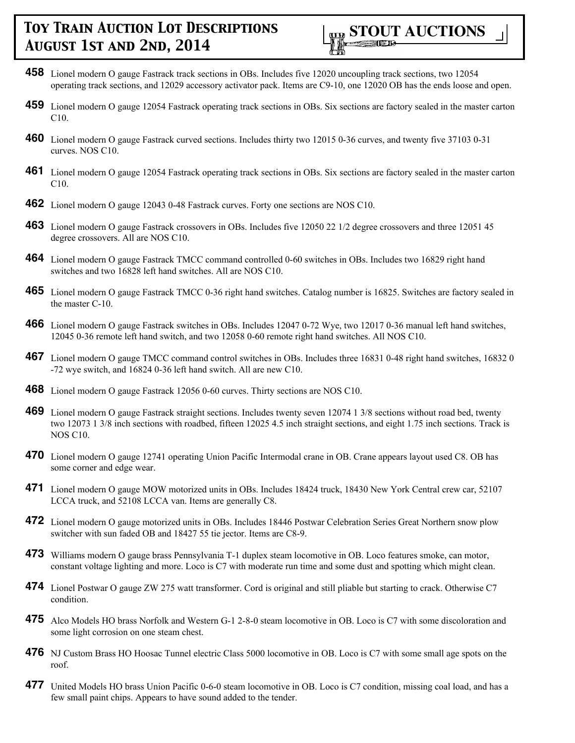

- **458** Lionel modern O gauge Fastrack track sections in OBs. Includes five 12020 uncoupling track sections, two 12054 operating track sections, and 12029 accessory activator pack. Items are C9-10, one 12020 OB has the ends loose and open.
- **459** Lionel modern O gauge 12054 Fastrack operating track sections in OBs. Six sections are factory sealed in the master carton C10.
- **460** Lionel modern O gauge Fastrack curved sections. Includes thirty two 12015 0-36 curves, and twenty five 37103 0-31 curves. NOS C10.
- **461** Lionel modern O gauge 12054 Fastrack operating track sections in OBs. Six sections are factory sealed in the master carton C10.
- **462** Lionel modern O gauge 12043 0-48 Fastrack curves. Forty one sections are NOS C10.
- **463** Lionel modern O gauge Fastrack crossovers in OBs. Includes five 12050 22 1/2 degree crossovers and three 12051 45 degree crossovers. All are NOS C10.
- **464** Lionel modern O gauge Fastrack TMCC command controlled 0-60 switches in OBs. Includes two 16829 right hand switches and two 16828 left hand switches. All are NOS C10.
- **465** Lionel modern O gauge Fastrack TMCC 0-36 right hand switches. Catalog number is 16825. Switches are factory sealed in the master C-10.
- **466** Lionel modern O gauge Fastrack switches in OBs. Includes 12047 0-72 Wye, two 12017 0-36 manual left hand switches, 12045 0-36 remote left hand switch, and two 12058 0-60 remote right hand switches. All NOS C10.
- **467** Lionel modern O gauge TMCC command control switches in OBs. Includes three 16831 0-48 right hand switches, 16832 0 -72 wye switch, and 16824 0-36 left hand switch. All are new C10.
- **468** Lionel modern O gauge Fastrack 12056 0-60 curves. Thirty sections are NOS C10.
- **469** Lionel modern O gauge Fastrack straight sections. Includes twenty seven 12074 1 3/8 sections without road bed, twenty two 12073 1 3/8 inch sections with roadbed, fifteen 12025 4.5 inch straight sections, and eight 1.75 inch sections. Track is NOS C10.
- **470** Lionel modern O gauge 12741 operating Union Pacific Intermodal crane in OB. Crane appears layout used C8. OB has some corner and edge wear.
- **471** Lionel modern O gauge MOW motorized units in OBs. Includes 18424 truck, 18430 New York Central crew car, 52107 LCCA truck, and 52108 LCCA van. Items are generally C8.
- **472** Lionel modern O gauge motorized units in OBs. Includes 18446 Postwar Celebration Series Great Northern snow plow switcher with sun faded OB and 18427 55 tie jector. Items are C8-9.
- **473** Williams modern O gauge brass Pennsylvania T-1 duplex steam locomotive in OB. Loco features smoke, can motor, constant voltage lighting and more. Loco is C7 with moderate run time and some dust and spotting which might clean.
- **474** Lionel Postwar O gauge ZW 275 watt transformer. Cord is original and still pliable but starting to crack. Otherwise C7 condition.
- **475** Alco Models HO brass Norfolk and Western G-1 2-8-0 steam locomotive in OB. Loco is C7 with some discoloration and some light corrosion on one steam chest.
- **476** NJ Custom Brass HO Hoosac Tunnel electric Class 5000 locomotive in OB. Loco is C7 with some small age spots on the roof.
- **477** United Models HO brass Union Pacific 0-6-0 steam locomotive in OB. Loco is C7 condition, missing coal load, and has a few small paint chips. Appears to have sound added to the tender.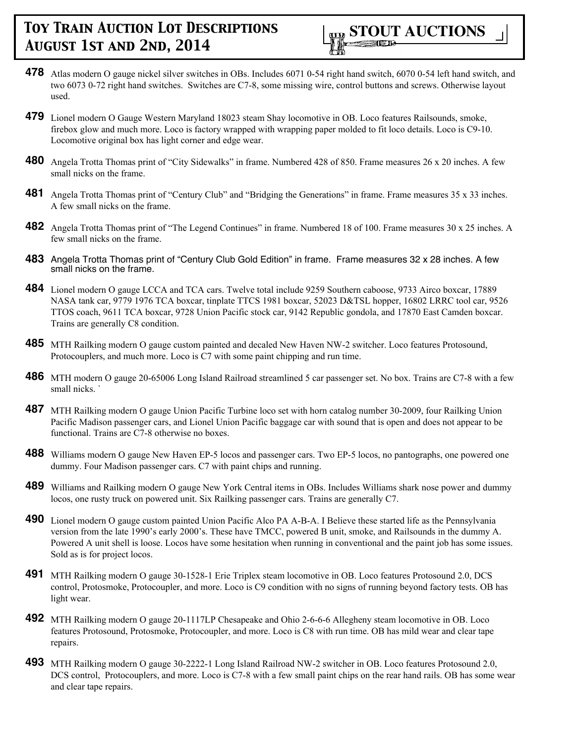

- **478** Atlas modern O gauge nickel silver switches in OBs. Includes 6071 0-54 right hand switch, 6070 0-54 left hand switch, and two 6073 0-72 right hand switches. Switches are C7-8, some missing wire, control buttons and screws. Otherwise layout used.
- **479** Lionel modern O Gauge Western Maryland 18023 steam Shay locomotive in OB. Loco features Railsounds, smoke, firebox glow and much more. Loco is factory wrapped with wrapping paper molded to fit loco details. Loco is C9-10. Locomotive original box has light corner and edge wear.
- **480** Angela Trotta Thomas print of "City Sidewalks" in frame. Numbered 428 of 850. Frame measures 26 x 20 inches. A few small nicks on the frame.
- **481** Angela Trotta Thomas print of "Century Club" and "Bridging the Generations" in frame. Frame measures 35 x 33 inches. A few small nicks on the frame.
- **482** Angela Trotta Thomas print of "The Legend Continues" in frame. Numbered 18 of 100. Frame measures 30 x 25 inches. A few small nicks on the frame.
- **483** Angela Trotta Thomas print of "Century Club Gold Edition" in frame. Frame measures 32 x 28 inches. A few small nicks on the frame.
- **484** Lionel modern O gauge LCCA and TCA cars. Twelve total include 9259 Southern caboose, 9733 Airco boxcar, 17889 NASA tank car, 9779 1976 TCA boxcar, tinplate TTCS 1981 boxcar, 52023 D&TSL hopper, 16802 LRRC tool car, 9526 TTOS coach, 9611 TCA boxcar, 9728 Union Pacific stock car, 9142 Republic gondola, and 17870 East Camden boxcar. Trains are generally C8 condition.
- **485** MTH Railking modern O gauge custom painted and decaled New Haven NW-2 switcher. Loco features Protosound, Protocouplers, and much more. Loco is C7 with some paint chipping and run time.
- **486** MTH modern O gauge 20-65006 Long Island Railroad streamlined 5 car passenger set. No box. Trains are C7-8 with a few small nicks. `
- **487** MTH Railking modern O gauge Union Pacific Turbine loco set with horn catalog number 30-2009, four Railking Union Pacific Madison passenger cars, and Lionel Union Pacific baggage car with sound that is open and does not appear to be functional. Trains are C7-8 otherwise no boxes.
- **488** Williams modern O gauge New Haven EP-5 locos and passenger cars. Two EP-5 locos, no pantographs, one powered one dummy. Four Madison passenger cars. C7 with paint chips and running.
- **489** Williams and Railking modern O gauge New York Central items in OBs. Includes Williams shark nose power and dummy locos, one rusty truck on powered unit. Six Railking passenger cars. Trains are generally C7.
- **490** Lionel modern O gauge custom painted Union Pacific Alco PA A-B-A. I Believe these started life as the Pennsylvania version from the late 1990's early 2000's. These have TMCC, powered B unit, smoke, and Railsounds in the dummy A. Powered A unit shell is loose. Locos have some hesitation when running in conventional and the paint job has some issues. Sold as is for project locos.
- **491** MTH Railking modern O gauge 30-1528-1 Erie Triplex steam locomotive in OB. Loco features Protosound 2.0, DCS control, Protosmoke, Protocoupler, and more. Loco is C9 condition with no signs of running beyond factory tests. OB has light wear.
- **492** MTH Railking modern O gauge 20-1117LP Chesapeake and Ohio 2-6-6-6 Allegheny steam locomotive in OB. Loco features Protosound, Protosmoke, Protocoupler, and more. Loco is C8 with run time. OB has mild wear and clear tape repairs.
- **493** MTH Railking modern O gauge 30-2222-1 Long Island Railroad NW-2 switcher in OB. Loco features Protosound 2.0, DCS control, Protocouplers, and more. Loco is C7-8 with a few small paint chips on the rear hand rails. OB has some wear and clear tape repairs.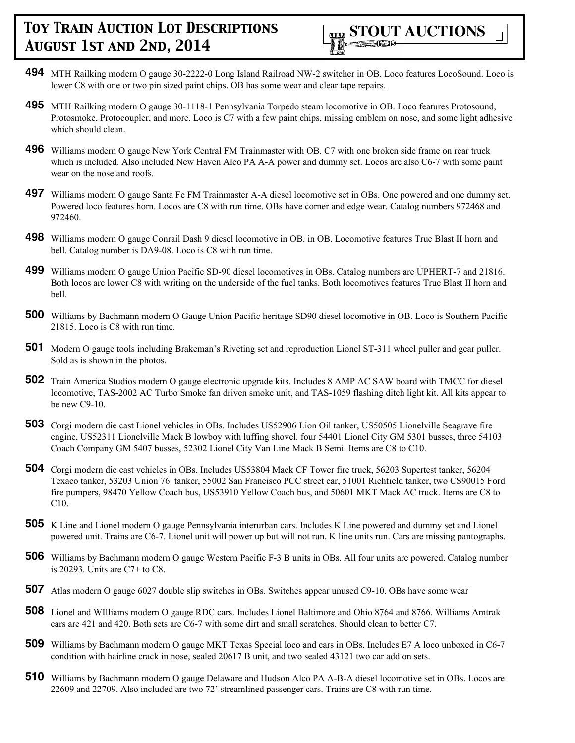

- **494** MTH Railking modern O gauge 30-2222-0 Long Island Railroad NW-2 switcher in OB. Loco features LocoSound. Loco is lower C8 with one or two pin sized paint chips. OB has some wear and clear tape repairs.
- **495** MTH Railking modern O gauge 30-1118-1 Pennsylvania Torpedo steam locomotive in OB. Loco features Protosound, Protosmoke, Protocoupler, and more. Loco is C7 with a few paint chips, missing emblem on nose, and some light adhesive which should clean.
- **496** Williams modern O gauge New York Central FM Trainmaster with OB. C7 with one broken side frame on rear truck which is included. Also included New Haven Alco PA A-A power and dummy set. Locos are also C6-7 with some paint wear on the nose and roofs.
- **497** Williams modern O gauge Santa Fe FM Trainmaster A-A diesel locomotive set in OBs. One powered and one dummy set. Powered loco features horn. Locos are C8 with run time. OBs have corner and edge wear. Catalog numbers 972468 and 972460.
- **498** Williams modern O gauge Conrail Dash 9 diesel locomotive in OB. in OB. Locomotive features True Blast II horn and bell. Catalog number is DA9-08. Loco is C8 with run time.
- **499** Williams modern O gauge Union Pacific SD-90 diesel locomotives in OBs. Catalog numbers are UPHERT-7 and 21816. Both locos are lower C8 with writing on the underside of the fuel tanks. Both locomotives features True Blast II horn and bell.
- **500** Williams by Bachmann modern O Gauge Union Pacific heritage SD90 diesel locomotive in OB. Loco is Southern Pacific 21815. Loco is C8 with run time.
- **501** Modern O gauge tools including Brakeman's Riveting set and reproduction Lionel ST-311 wheel puller and gear puller. Sold as is shown in the photos.
- **502** Train America Studios modern O gauge electronic upgrade kits. Includes 8 AMP AC SAW board with TMCC for diesel locomotive, TAS-2002 AC Turbo Smoke fan driven smoke unit, and TAS-1059 flashing ditch light kit. All kits appear to be new C9-10.
- **503** Corgi modern die cast Lionel vehicles in OBs. Includes US52906 Lion Oil tanker, US50505 Lionelville Seagrave fire engine, US52311 Lionelville Mack B lowboy with luffing shovel. four 54401 Lionel City GM 5301 busses, three 54103 Coach Company GM 5407 busses, 52302 Lionel City Van Line Mack B Semi. Items are C8 to C10.
- **504** Corgi modern die cast vehicles in OBs. Includes US53804 Mack CF Tower fire truck, 56203 Supertest tanker, 56204 Texaco tanker, 53203 Union 76 tanker, 55002 San Francisco PCC street car, 51001 Richfield tanker, two CS90015 Ford fire pumpers, 98470 Yellow Coach bus, US53910 Yellow Coach bus, and 50601 MKT Mack AC truck. Items are C8 to C10.
- **505** K Line and Lionel modern O gauge Pennsylvania interurban cars. Includes K Line powered and dummy set and Lionel powered unit. Trains are C6-7. Lionel unit will power up but will not run. K line units run. Cars are missing pantographs.
- **506** Williams by Bachmann modern O gauge Western Pacific F-3 B units in OBs. All four units are powered. Catalog number is 20293. Units are C7+ to C8.
- **507** Atlas modern O gauge 6027 double slip switches in OBs. Switches appear unused C9-10. OBs have some wear
- **508** Lionel and WIlliams modern O gauge RDC cars. Includes Lionel Baltimore and Ohio 8764 and 8766. Williams Amtrak cars are 421 and 420. Both sets are C6-7 with some dirt and small scratches. Should clean to better C7.
- **509** Williams by Bachmann modern O gauge MKT Texas Special loco and cars in OBs. Includes E7 A loco unboxed in C6-7 condition with hairline crack in nose, sealed 20617 B unit, and two sealed 43121 two car add on sets.
- **510** Williams by Bachmann modern O gauge Delaware and Hudson Alco PA A-B-A diesel locomotive set in OBs. Locos are 22609 and 22709. Also included are two 72' streamlined passenger cars. Trains are C8 with run time.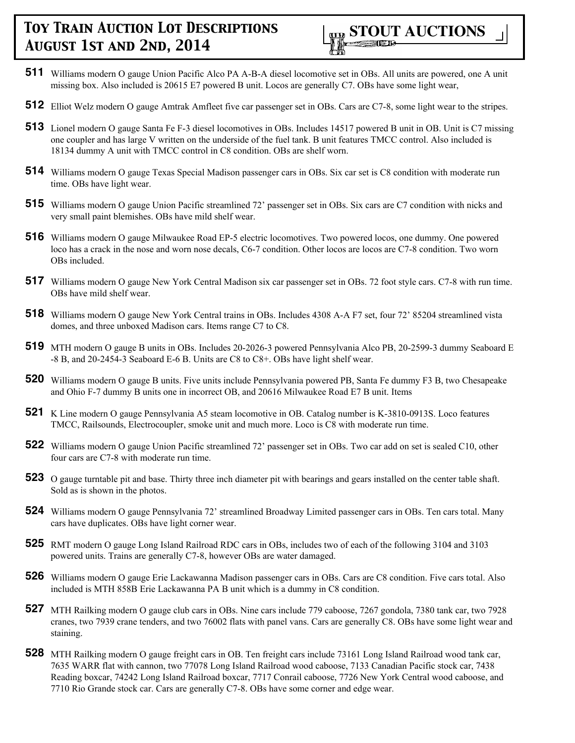

- **511** Williams modern O gauge Union Pacific Alco PA A-B-A diesel locomotive set in OBs. All units are powered, one A unit missing box. Also included is 20615 E7 powered B unit. Locos are generally C7. OBs have some light wear,
- **512** Elliot Welz modern O gauge Amtrak Amfleet five car passenger set in OBs. Cars are C7-8, some light wear to the stripes.
- **513** Lionel modern O gauge Santa Fe F-3 diesel locomotives in OBs. Includes 14517 powered B unit in OB. Unit is C7 missing one coupler and has large V written on the underside of the fuel tank. B unit features TMCC control. Also included is 18134 dummy A unit with TMCC control in C8 condition. OBs are shelf worn.
- **514** Williams modern O gauge Texas Special Madison passenger cars in OBs. Six car set is C8 condition with moderate run time. OBs have light wear.
- **515** Williams modern O gauge Union Pacific streamlined 72' passenger set in OBs. Six cars are C7 condition with nicks and very small paint blemishes. OBs have mild shelf wear.
- **516** Williams modern O gauge Milwaukee Road EP-5 electric locomotives. Two powered locos, one dummy. One powered loco has a crack in the nose and worn nose decals, C6-7 condition. Other locos are locos are C7-8 condition. Two worn OBs included.
- **517** Williams modern O gauge New York Central Madison six car passenger set in OBs. 72 foot style cars. C7-8 with run time. OBs have mild shelf wear.
- **518** Williams modern O gauge New York Central trains in OBs. Includes 4308 A-A F7 set, four 72' 85204 streamlined vista domes, and three unboxed Madison cars. Items range C7 to C8.
- **519** MTH modern O gauge B units in OBs. Includes 20-2026-3 powered Pennsylvania Alco PB, 20-2599-3 dummy Seaboard E -8 B, and 20-2454-3 Seaboard E-6 B. Units are C8 to C8+. OBs have light shelf wear.
- **520** Williams modern O gauge B units. Five units include Pennsylvania powered PB, Santa Fe dummy F3 B, two Chesapeake and Ohio F-7 dummy B units one in incorrect OB, and 20616 Milwaukee Road E7 B unit. Items
- **521** K Line modern O gauge Pennsylvania A5 steam locomotive in OB. Catalog number is K-3810-0913S. Loco features TMCC, Railsounds, Electrocoupler, smoke unit and much more. Loco is C8 with moderate run time.
- **522** Williams modern O gauge Union Pacific streamlined 72' passenger set in OBs. Two car add on set is sealed C10, other four cars are C7-8 with moderate run time.
- **523** O gauge turntable pit and base. Thirty three inch diameter pit with bearings and gears installed on the center table shaft. Sold as is shown in the photos.
- **524** Williams modern O gauge Pennsylvania 72' streamlined Broadway Limited passenger cars in OBs. Ten cars total. Many cars have duplicates. OBs have light corner wear.
- **525** RMT modern O gauge Long Island Railroad RDC cars in OBs, includes two of each of the following 3104 and 3103 powered units. Trains are generally C7-8, however OBs are water damaged.
- **526** Williams modern O gauge Erie Lackawanna Madison passenger cars in OBs. Cars are C8 condition. Five cars total. Also included is MTH 858B Erie Lackawanna PA B unit which is a dummy in C8 condition.
- **527** MTH Railking modern O gauge club cars in OBs. Nine cars include 779 caboose, 7267 gondola, 7380 tank car, two 7928 cranes, two 7939 crane tenders, and two 76002 flats with panel vans. Cars are generally C8. OBs have some light wear and staining.
- **528** MTH Railking modern O gauge freight cars in OB. Ten freight cars include 73161 Long Island Railroad wood tank car, 7635 WARR flat with cannon, two 77078 Long Island Railroad wood caboose, 7133 Canadian Pacific stock car, 7438 Reading boxcar, 74242 Long Island Railroad boxcar, 7717 Conrail caboose, 7726 New York Central wood caboose, and 7710 Rio Grande stock car. Cars are generally C7-8. OBs have some corner and edge wear.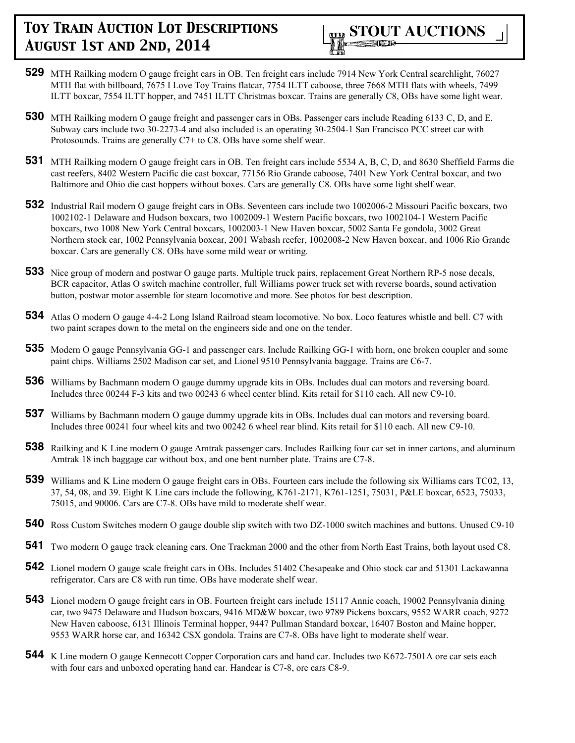

- **529** MTH Railking modern O gauge freight cars in OB. Ten freight cars include 7914 New York Central searchlight, 76027 MTH flat with billboard, 7675 I Love Toy Trains flatcar, 7754 ILTT caboose, three 7668 MTH flats with wheels, 7499 ILTT boxcar, 7554 ILTT hopper, and 7451 ILTT Christmas boxcar. Trains are generally C8, OBs have some light wear.
- **530** MTH Railking modern O gauge freight and passenger cars in OBs. Passenger cars include Reading 6133 C, D, and E. Subway cars include two 30-2273-4 and also included is an operating 30-2504-1 San Francisco PCC street car with Protosounds. Trains are generally C7+ to C8. OBs have some shelf wear.
- **531** MTH Railking modern O gauge freight cars in OB. Ten freight cars include 5534 A, B, C, D, and 8630 Sheffield Farms die cast reefers, 8402 Western Pacific die cast boxcar, 77156 Rio Grande caboose, 7401 New York Central boxcar, and two Baltimore and Ohio die cast hoppers without boxes. Cars are generally C8. OBs have some light shelf wear.
- **532** Industrial Rail modern O gauge freight cars in OBs. Seventeen cars include two 1002006-2 Missouri Pacific boxcars, two 1002102-1 Delaware and Hudson boxcars, two 1002009-1 Western Pacific boxcars, two 1002104-1 Western Pacific boxcars, two 1008 New York Central boxcars, 1002003-1 New Haven boxcar, 5002 Santa Fe gondola, 3002 Great Northern stock car, 1002 Pennsylvania boxcar, 2001 Wabash reefer, 1002008-2 New Haven boxcar, and 1006 Rio Grande boxcar. Cars are generally C8. OBs have some mild wear or writing.
- **533** Nice group of modern and postwar O gauge parts. Multiple truck pairs, replacement Great Northern RP-5 nose decals, BCR capacitor, Atlas O switch machine controller, full Williams power truck set with reverse boards, sound activation button, postwar motor assemble for steam locomotive and more. See photos for best description.
- **534** Atlas O modern O gauge 4-4-2 Long Island Railroad steam locomotive. No box. Loco features whistle and bell. C7 with two paint scrapes down to the metal on the engineers side and one on the tender.
- **535** Modern O gauge Pennsylvania GG-1 and passenger cars. Include Railking GG-1 with horn, one broken coupler and some paint chips. Williams 2502 Madison car set, and Lionel 9510 Pennsylvania baggage. Trains are C6-7.
- **536** Williams by Bachmann modern O gauge dummy upgrade kits in OBs. Includes dual can motors and reversing board. Includes three 00244 F-3 kits and two 00243 6 wheel center blind. Kits retail for \$110 each. All new C9-10.
- **537** Williams by Bachmann modern O gauge dummy upgrade kits in OBs. Includes dual can motors and reversing board. Includes three 00241 four wheel kits and two 00242 6 wheel rear blind. Kits retail for \$110 each. All new C9-10.
- **538** Railking and K Line modern O gauge Amtrak passenger cars. Includes Railking four car set in inner cartons, and aluminum Amtrak 18 inch baggage car without box, and one bent number plate. Trains are C7-8.
- **539** Williams and K Line modern O gauge freight cars in OBs. Fourteen cars include the following six Williams cars TC02, 13, 37, 54, 08, and 39. Eight K Line cars include the following, K761-2171, K761-1251, 75031, P&LE boxcar, 6523, 75033, 75015, and 90006. Cars are C7-8. OBs have mild to moderate shelf wear.
- **540** Ross Custom Switches modern O gauge double slip switch with two DZ-1000 switch machines and buttons. Unused C9-10
- **541** Two modern O gauge track cleaning cars. One Trackman 2000 and the other from North East Trains, both layout used C8.
- **542** Lionel modern O gauge scale freight cars in OBs. Includes 51402 Chesapeake and Ohio stock car and 51301 Lackawanna refrigerator. Cars are C8 with run time. OBs have moderate shelf wear.
- **543** Lionel modern O gauge freight cars in OB. Fourteen freight cars include 15117 Annie coach, 19002 Pennsylvania dining car, two 9475 Delaware and Hudson boxcars, 9416 MD&W boxcar, two 9789 Pickens boxcars, 9552 WARR coach, 9272 New Haven caboose, 6131 Illinois Terminal hopper, 9447 Pullman Standard boxcar, 16407 Boston and Maine hopper, 9553 WARR horse car, and 16342 CSX gondola. Trains are C7-8. OBs have light to moderate shelf wear.
- **544** K Line modern O gauge Kennecott Copper Corporation cars and hand car. Includes two K672-7501A ore car sets each with four cars and unboxed operating hand car. Handcar is C7-8, ore cars C8-9.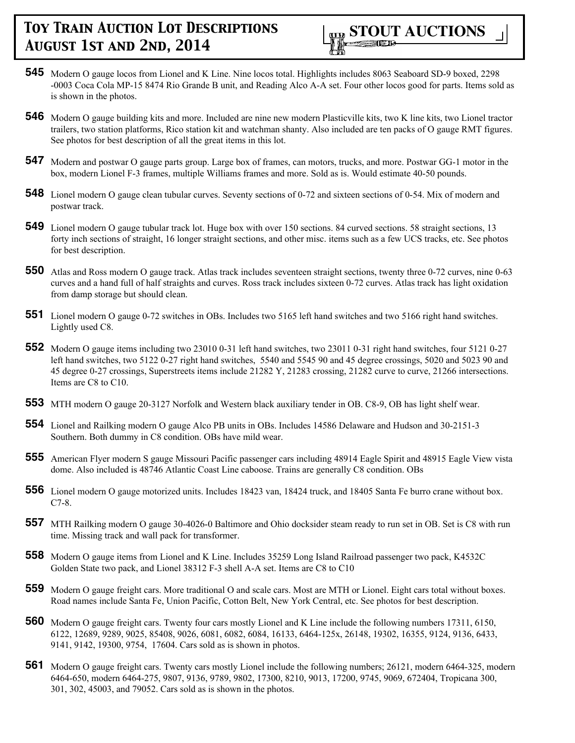- **545** Modern O gauge locos from Lionel and K Line. Nine locos total. Highlights includes 8063 Seaboard SD-9 boxed, 2298 -0003 Coca Cola MP-15 8474 Rio Grande B unit, and Reading Alco A-A set. Four other locos good for parts. Items sold as is shown in the photos.
- **546** Modern O gauge building kits and more. Included are nine new modern Plasticville kits, two K line kits, two Lionel tractor trailers, two station platforms, Rico station kit and watchman shanty. Also included are ten packs of O gauge RMT figures. See photos for best description of all the great items in this lot.
- **547** Modern and postwar O gauge parts group. Large box of frames, can motors, trucks, and more. Postwar GG-1 motor in the box, modern Lionel F-3 frames, multiple Williams frames and more. Sold as is. Would estimate 40-50 pounds.
- **548** Lionel modern O gauge clean tubular curves. Seventy sections of 0-72 and sixteen sections of 0-54. Mix of modern and postwar track.
- **549** Lionel modern O gauge tubular track lot. Huge box with over 150 sections. 84 curved sections. 58 straight sections, 13 forty inch sections of straight, 16 longer straight sections, and other misc. items such as a few UCS tracks, etc. See photos for best description.
- **550** Atlas and Ross modern O gauge track. Atlas track includes seventeen straight sections, twenty three 0-72 curves, nine 0-63 curves and a hand full of half straights and curves. Ross track includes sixteen 0-72 curves. Atlas track has light oxidation from damp storage but should clean.
- **551** Lionel modern O gauge 0-72 switches in OBs. Includes two 5165 left hand switches and two 5166 right hand switches. Lightly used C8.
- **552** Modern O gauge items including two 23010 0-31 left hand switches, two 23011 0-31 right hand switches, four 5121 0-27 left hand switches, two 5122 0-27 right hand switches, 5540 and 5545 90 and 45 degree crossings, 5020 and 5023 90 and 45 degree 0-27 crossings, Superstreets items include 21282 Y, 21283 crossing, 21282 curve to curve, 21266 intersections. Items are C8 to C10.
- **553** MTH modern O gauge 20-3127 Norfolk and Western black auxiliary tender in OB. C8-9, OB has light shelf wear.
- **554** Lionel and Railking modern O gauge Alco PB units in OBs. Includes 14586 Delaware and Hudson and 30-2151-3 Southern. Both dummy in C8 condition. OBs have mild wear.
- **555** American Flyer modern S gauge Missouri Pacific passenger cars including 48914 Eagle Spirit and 48915 Eagle View vista dome. Also included is 48746 Atlantic Coast Line caboose. Trains are generally C8 condition. OBs
- **556** Lionel modern O gauge motorized units. Includes 18423 van, 18424 truck, and 18405 Santa Fe burro crane without box. C7-8.
- **557** MTH Railking modern O gauge 30-4026-0 Baltimore and Ohio docksider steam ready to run set in OB. Set is C8 with run time. Missing track and wall pack for transformer.
- **558** Modern O gauge items from Lionel and K Line. Includes 35259 Long Island Railroad passenger two pack, K4532C Golden State two pack, and Lionel 38312 F-3 shell A-A set. Items are C8 to C10
- **559** Modern O gauge freight cars. More traditional O and scale cars. Most are MTH or Lionel. Eight cars total without boxes. Road names include Santa Fe, Union Pacific, Cotton Belt, New York Central, etc. See photos for best description.
- **560** Modern O gauge freight cars. Twenty four cars mostly Lionel and K Line include the following numbers 17311, 6150, 6122, 12689, 9289, 9025, 85408, 9026, 6081, 6082, 6084, 16133, 6464-125x, 26148, 19302, 16355, 9124, 9136, 6433, 9141, 9142, 19300, 9754, 17604. Cars sold as is shown in photos.
- **561** Modern O gauge freight cars. Twenty cars mostly Lionel include the following numbers; 26121, modern 6464-325, modern 6464-650, modern 6464-275, 9807, 9136, 9789, 9802, 17300, 8210, 9013, 17200, 9745, 9069, 672404, Tropicana 300, 301, 302, 45003, and 79052. Cars sold as is shown in the photos.